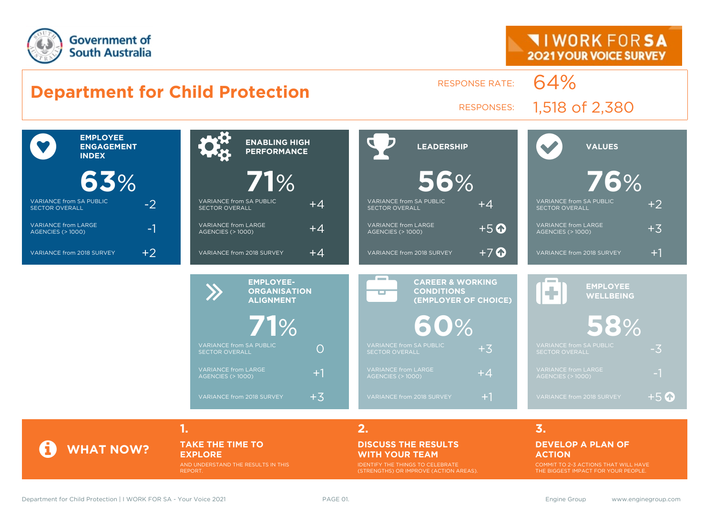



**TAKE THE TIME TO** 

#### **EXPLORE** AND UNDERSTAND THE RESULTS IN THIS REPORT.

#### **DISCUSS THE RESULTS WITH YOUR TEAM**

IDENTIFY THE THINGS TO CELEBRATE (STRENGTHS) OR IMPROVE (ACTION AREAS).

#### **DEVELOP A PLAN OF ACTION**

COMMIT TO 2-3 ACTIONS THAT WILL HAVE THE BIGGEST IMPACT FOR YOUR PEOPLE.

**WHAT NOW?**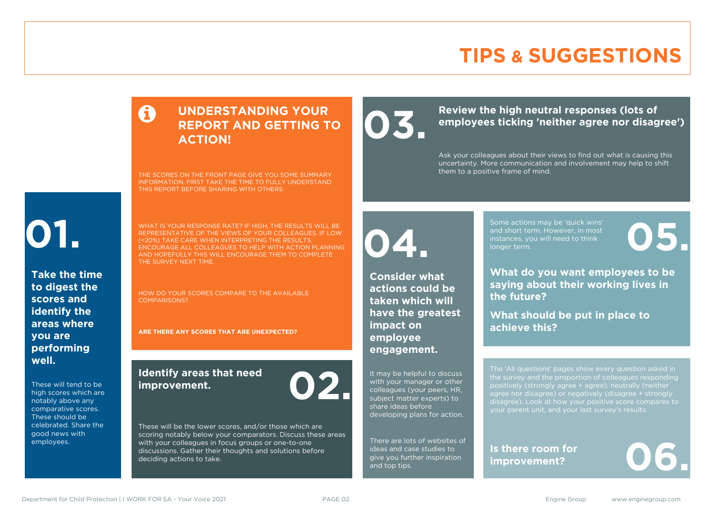### **TIPS & SUGGESTIONS**

#### **UNDERSTANDING YOUR REPORT AND GETTING TO ACTION!**

THE SCORES ON THE FRONT PAGE GIVE YOU SOME SUMMARY INFORMATION. FIRST TAKE THE TIME TO FULLY UNDERSTAND THIS REPORT BEFORE SHARING WITH OTHERS.

# **01.**

**Take the time to digest the scores and identify the areas where you are performing well.**

These will tend to be high scores which are notably above any comparative scores. These should be celebrated. Share the good news with employees.

WHAT IS YOUR RESPONSE RATE? IF HIGH, THE RESULTS WILL BE REPRESENTATIVE OF THE VIEWS OF YOUR COLLEAGUES. IF LOW (<20%) TAKE CARE WHEN INTERPRETING THE RESULTS. ENCOURAGE ALL COLLEAGUES TO HELP WITH ACTION PLANNING AND HOPEFULLY THIS WILL ENCOURAGE THEM TO COMPLETE THE SURVEY NEXT TIME.

HOW DO YOUR SCORES COMPARE TO THE AVAILABLE COMPARISONS?

**ARE THERE ANY SCORES THAT ARE UNEXPECTED?**

#### **Identify areas that need improvement. 02.**

**04.**

**impact on employee engagement.**

**Consider what actions could be taken which will have the greatest** 

It may be helpful to discuss with your manager or other colleagues (your peers, HR, subject matter experts) to share ideas before

developing plans for action.

There are lots of websites of ideas and case studies to give you further inspiration

and top tips.

These will be the lower scores, and/or those which are scoring notably below your comparators. Discuss these areas with your colleagues in focus groups or one-to-one discussions. Gather their thoughts and solutions before deciding actions to take.

Review the high neutral responses (lots of employees ticking 'neither agree nor disag **employees ticking 'neither agree nor disagree')**

> Ask your colleagues about their views to find out what is causing this uncertainty. More communication and involvement may help to shift them to a positive frame of mind.

> > Some actions may be 'quick wins' and short term. However, in most instances, you will need to think Some actions may be 'quick wins'<br>and short term. However, in most<br>instances, you will need to think<br>longer term.

**What do you want employees to be saying about their working lives in the future?**

**What should be put in place to achieve this?**

The 'All questions' pages show every question asked in positively (strongly agree + agree), neutrally (neither agree nor disagree) or negatively (disagree + strongly disagree). Look at how your positive score compares to your parent unit, and your last survey's results.

**Is there room for**  Is there room for<br>improvement?

Department for Child Protection | I WORK FOR SA - Your Voice 2021 **PAGE 02.** PAGE 02. Engine Group www.enginegroup.com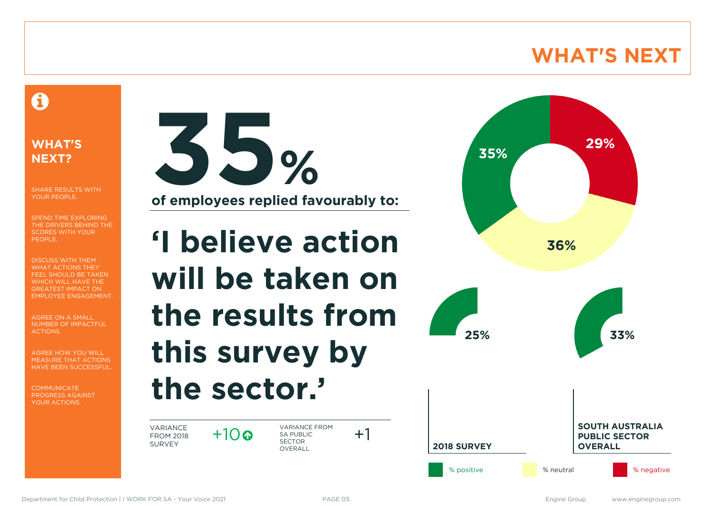### **WHAT'S NEXT**

### A

#### **WHAT'S NEXT?**

SHARE RESULTS WITH YOUR PEOPLE.

SPEND TIME EXPLORING THE DRIVERS BEHIND THE SCORES WITH YOUR PEOPLE.

DISCUSS WITH THEM WHAT ACTIONS THEY FEEL SHOULD BE TAKEN WHICH WILL HAVE THE GREATEST IMPACT ON EMPLOYEE ENGAGEMENT.

AGREE ON A SMALL NUMBER OF IMPACTFUL ACTIONS.

AGREE HOW YOU WILL MEASURE THAT ACTIONS HAVE BEEN SUCCESSFUL.

**COMMUNICATE** PROGRESS AGAINST YOUR ACTIONS.



**'I believe action will be taken on the results from** 

## **this survey by the sector.'**

 $+10$ 

VARIANCE FROM 2018 SURVEY

VARIANCE FROM SA PUBLIC SECTOR **OVERALL** 



 $+1$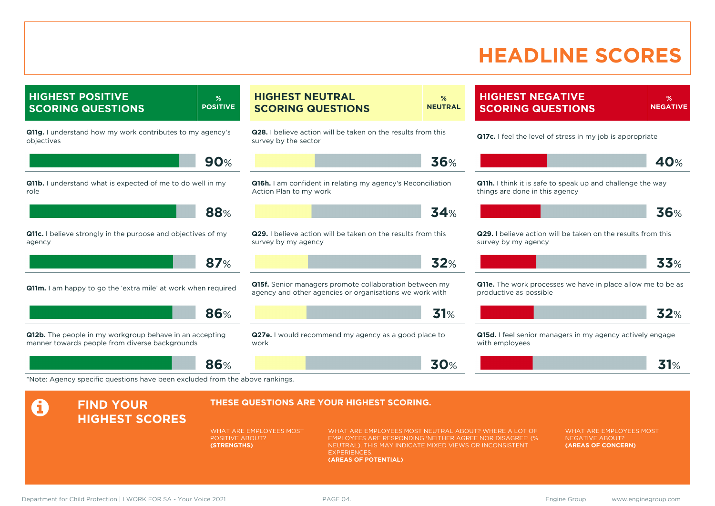### **HEADLINE SCORES**

**% NEGATIVE**

**40**%

**36**%

**33**%

**32**%

**31**%

**HIGHEST POSITIVE SCORING QUESTIONS % POSITIVE Q11g.** I understand how my work contributes to my agency's objectives **90**% **Q11b.** I understand what is expected of me to do well in my role **88**% **Q11c.** I believe strongly in the purpose and objectives of my agency **87**% **Q11m.** I am happy to go the 'extra mile' at work when required **86**% **Q12b.** The people in my workgroup behave in an accepting manner towards people from diverse backgrounds **86**% **HIGHEST NEUTRAL SCORING QUESTIONS % NEUTRAL Q28.** I believe action will be taken on the results from this survey by the sector **36**% **Q16h.** I am confident in relating my agency's Reconciliation Action Plan to my work **34**% **Q29.** I believe action will be taken on the results from this survey by my agency **32**% **Q15f.** Senior managers promote collaboration between my agency and other agencies or organisations we work with **31**% **Q27e.** I would recommend my agency as a good place to work **30**% **HIGHEST NEGATIVE SCORING QUESTIONS Q17c.** I feel the level of stress in my job is appropriate **Q11h.** I think it is safe to speak up and challenge the way things are done in this agency **Q29.** I believe action will be taken on the results from this survey by my agency **Q11e.** The work processes we have in place allow me to be as productive as possible **Q15d.** I feel senior managers in my agency actively engage with employees \*Note: Agency specific questions have been excluded from the above rankings. **A** FIND YOUR **HIGHEST SCORES THESE QUESTIONS ARE YOUR HIGHEST SCORING.** WHAT ARE EMPLOYEES MOST POSITIVE ABOUT? **(STRENGTHS)** WHAT ARE EMPLOYEES MOST NEUTRAL ABOUT? WHERE A LOT OF EMPLOYEES ARE RESPONDING 'NEITHER AGREE NOR DISAGREE' (% NEUTRAL), THIS MAY INDICATE MIXED VIEWS OR INCONSISTENT **EXPERIENCES (AREAS OF POTENTIAL)** WHAT ARE EMPLOYEES MOST NEGATIVE ABOUT? **(AREAS OF CONCERN)** Department for Child Protection | I WORK FOR SA - Your Voice 2021 **PAGE 04.** PAGE 04. Engine Group www.enginegroup.com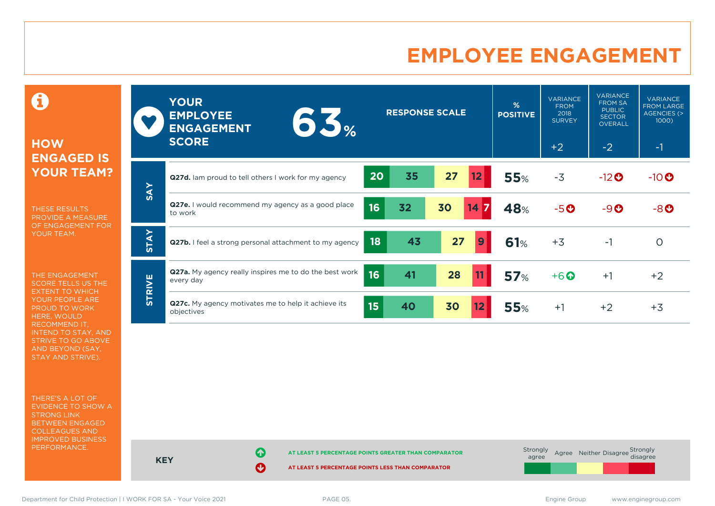### **EMPLOYEE ENGAGEMENT**

0

#### **HOW ENGAGED IS YOUR TEAM?**

THESE RESULTS PROVIDE A MEASURE OF ENGAGEMENT FOR YOUR TEAM.

THE ENGAGEMENT SCORE TELLS US THE EXTENT TO WHICH YOUR PEOPLE ARE PROUD TO WORK HERE, WOULD RECOMMEND IT, INTEND TO STAY, AND STRIVE TO GO ABOVE AND BEYOND (SAY, STAY AND STRIVE).

THERE'S A LOT OF EVIDENCE TO SHOW A STRONG LINK BETWEEN ENGAGED COLLEAGUES AND IMPROVED BUSINESS PERFORMANCE.

|               | <b>YOUR</b><br><b>EMPLOYEE</b><br>65%<br><b>ENGAGEMENT</b><br><b>SCORE</b>       | <b>RESPONSE SCALE</b> |          | %<br><b>POSITIVE</b> | <b>VARIANCE</b><br><b>FROM</b><br>2018<br><b>SURVEY</b><br>$+2$ | <b>VARIANCE</b><br><b>FROM SA</b><br><b>PUBLIC</b><br><b>SECTOR</b><br><b>OVERALL</b><br>$-2$ | <b>VARIANCE</b><br><b>FROM LARGE</b><br><b>AGENCIES (&gt;</b><br>$1000$ )<br>$-1$ |
|---------------|----------------------------------------------------------------------------------|-----------------------|----------|----------------------|-----------------------------------------------------------------|-----------------------------------------------------------------------------------------------|-----------------------------------------------------------------------------------|
|               |                                                                                  |                       |          |                      |                                                                 |                                                                                               |                                                                                   |
|               | 20<br>Q27d. Iam proud to tell others I work for my agency                        | 35<br>27              | 12       | <b>55%</b>           | $-3$                                                            | $-12$ <sup>O</sup>                                                                            | $-10$ $\odot$                                                                     |
| <b>SAY</b>    | Q27e. I would recommend my agency as a good place<br>16<br>to work               | 30<br>32              | 14<br>17 | 48%                  | $-5o$                                                           | $-9O$                                                                                         | $-8o$                                                                             |
| <b>STAY</b>   | 18<br>Q27b. I feel a strong personal attachment to my agency                     | 43                    | 27<br>9  | <b>61%</b>           | $+3$                                                            | $-1$                                                                                          | $\circ$                                                                           |
| <b>STRIVE</b> | <b>Q27a.</b> My agency really inspires me to do the best work<br>16<br>every day | 41<br>28              | 11       | 57%                  | $+6$ <sup><math>\odot</math></sup>                              | $+1$                                                                                          | $+2$                                                                              |
|               | Q27c. My agency motivates me to help it achieve its<br>15<br>objectives          | 40<br>30              | 12       | <b>55%</b>           | $+1$                                                            | $+2$                                                                                          | $+3$                                                                              |



Department for Child Protection | I WORK FOR SA - Your Voice 2021 **PAGE 05.** PAGE 05. Engine Group www.enginegroup.com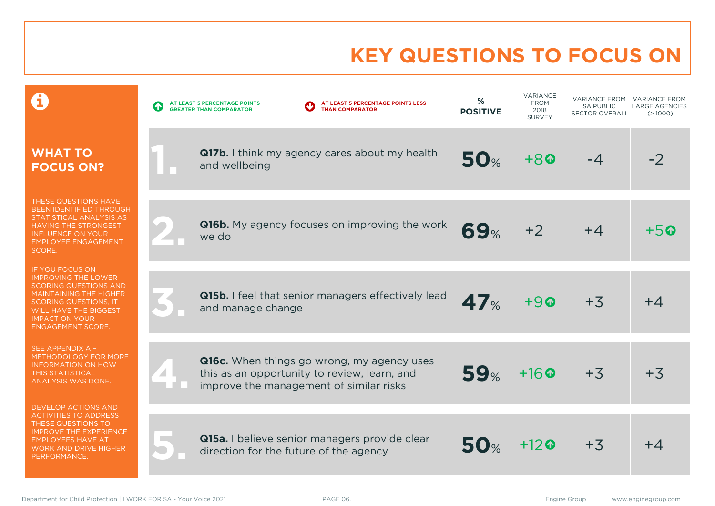### **KEY QUESTIONS TO FOCUS ON**

|                                                                                                                                                                                                                                            | AT LEAST 5 PERCENTAGE POINTS LESS<br>AT LEAST 5 PERCENTAGE POINTS<br>$\bigodot$<br><b>THAN COMPARATOR</b><br><b>GREATER THAN COMPARATOR</b> | %<br><b>POSITIVE</b> | VARIANCE<br><b>FROM</b><br>2018<br><b>SURVEY</b> | <b>VARIANCE FROM</b><br><b>SA PUBLIC</b><br><b>SECTOR OVERALL</b> | <b>VARIANCE FROM</b><br><b>LARGE AGENCIES</b><br>(>1000) |
|--------------------------------------------------------------------------------------------------------------------------------------------------------------------------------------------------------------------------------------------|---------------------------------------------------------------------------------------------------------------------------------------------|----------------------|--------------------------------------------------|-------------------------------------------------------------------|----------------------------------------------------------|
| <b>WHAT TO</b><br><b>FOCUS ON?</b>                                                                                                                                                                                                         | <b>Q17b.</b> I think my agency cares about my health<br>and wellbeing                                                                       | <b>50%</b>           | $+80$                                            | $-4$                                                              | $-2$                                                     |
| THESE QUESTIONS HAVE<br><b>BEEN IDENTIFIED THROUGH</b><br>STATISTICAL ANALYSIS AS<br>HAVING THE STRONGEST<br><b>INFLUENCE ON YOUR</b><br><b>EMPLOYEE ENGAGEMENT</b><br><b>SCORE.</b>                                                       | <b>Q16b.</b> My agency focuses on improving the work<br>we do                                                                               | 69%                  | $+2$                                             | $+4$                                                              | $+5$ ©                                                   |
| <b>IF YOU FOCUS ON</b><br><b>IMPROVING THE LOWER</b><br><b>SCORING QUESTIONS AND</b><br><b>MAINTAINING THE HIGHER</b><br><b>SCORING QUESTIONS, IT</b><br><b>WILL HAVE THE BIGGEST</b><br><b>IMPACT ON YOUR</b><br><b>ENGAGEMENT SCORE.</b> | <b>Q15b.</b> I feel that senior managers effectively lead<br>and manage change                                                              | 47 <sub>%</sub>      | $+90$                                            | $+3$                                                              | $+4$                                                     |
| SEE APPENDIX A -<br>METHODOLOGY FOR MORE<br><b>INFORMATION ON HOW</b><br><b>THIS STATISTICAL</b><br>ANALYSIS WAS DONE.                                                                                                                     | Q16c. When things go wrong, my agency uses<br>this as an opportunity to review, learn, and<br>improve the management of similar risks       | 59%                  | $+16$                                            | $+3$                                                              | $+3$                                                     |
| <b>DEVELOP ACTIONS AND</b><br><b>ACTIVITIES TO ADDRESS</b><br>THESE QUESTIONS TO<br><b>IMPROVE THE EXPERIENCE</b><br><b>EMPLOYEES HAVE AT</b><br>WORK AND DRIVE HIGHER<br>PERFORMANCE.                                                     | <b>Q15a.</b> I believe senior managers provide clear<br>direction for the future of the agency                                              | <b>50%</b>           | $+12$                                            | $+3$                                                              | $+4$                                                     |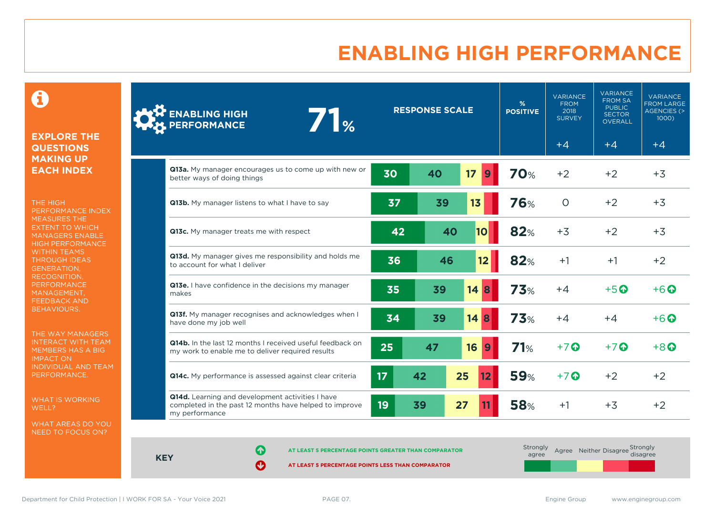### **ENABLING HIGH PERFORMANCE**

 $\mathbf \Theta$ 

#### **EXPLORE THE QUESTIONS MAKING UP EACH INDEX**

THE HIGH PERFORMANCE INDEX MEASURES THE EXTENT TO WHICH MANAGERS ENABLE HIGH PERFORMANCE WITHIN TEAMS THROUGH IDEAS GENERATION, RECOGNITION, **PERFORMANCE** MANAGEMENT, FEEDBACK AND BEHAVIOURS.

THE WAY MANAGERS INTERACT WITH TEAM MEMBERS HAS A BIG IMPACT ON INDIVIDUAL AND TEAM PERFORMANCE.

WHAT IS WORKING WELL?

WHAT AREAS DO YOU NEED TO FOCUS ON?

|       | <b>ENABLING HIGH</b><br>7 <sub>°</sub><br><b>PERFORMANCE</b>                                                                 |                 | <b>RESPONSE SCALE</b> |                        | %<br><b>POSITIVE</b> | <b>VARIANCE</b><br><b>FROM</b><br>2018<br><b>SURVEY</b> | <b>VARIANCE</b><br><b>FROM SA</b><br><b>PUBLIC</b><br><b>SECTOR</b><br>OVERALL | <b>VARIANCE</b><br><b>FROM LARGE</b><br><b>AGENCIES (&gt;</b><br>1000) |
|-------|------------------------------------------------------------------------------------------------------------------------------|-----------------|-----------------------|------------------------|----------------------|---------------------------------------------------------|--------------------------------------------------------------------------------|------------------------------------------------------------------------|
|       |                                                                                                                              |                 |                       |                        |                      | $+4$                                                    | $+4$                                                                           | $+4$                                                                   |
|       | Q13a. My manager encourages us to come up with new or<br>better ways of doing things                                         | 30              | 40                    | 17<br>9                | <b>70%</b>           | $+2$                                                    | $+2$                                                                           | $+3$                                                                   |
|       | Q13b. My manager listens to what I have to say                                                                               | 37              | 39                    | 13                     | <b>76%</b>           | $\Omega$                                                | $+2$                                                                           | $+3$                                                                   |
|       | Q13c. My manager treats me with respect                                                                                      | 42              | 40                    | 10                     | 82%                  | $+3$                                                    | $+2$                                                                           | $+3$                                                                   |
|       | Q13d. My manager gives me responsibility and holds me<br>to account for what I deliver                                       | 36              | 46                    | 12                     | 82%                  | $+1$                                                    | $+1$                                                                           | $+2$                                                                   |
| makes | Q13e. I have confidence in the decisions my manager                                                                          | 35              | 39                    | 14<br><b>8</b>         | 73%                  | $+4$                                                    | $+5$ <sup>O</sup>                                                              | $+6$ $\odot$                                                           |
|       | Q13f. My manager recognises and acknowledges when I<br>have done my job well                                                 | 34              | 39                    | 14<br>8                | 73%                  | $+4$                                                    | $+4$                                                                           | $+6$ $\odot$                                                           |
|       | Q14b. In the last 12 months I received useful feedback on<br>my work to enable me to deliver required results                | 25              | 47                    | 16<br>$\boldsymbol{9}$ | 71%                  | $+7$ $\odot$                                            | $+7$ $\odot$                                                                   | $+8$ $\odot$                                                           |
|       | Q14c. My performance is assessed against clear criteria                                                                      | 17 <sub>2</sub> | 42                    | 25<br>12               | <b>59%</b>           | $+7$ $\odot$                                            | $+2$                                                                           | $+2$                                                                   |
|       | Q14d. Learning and development activities I have<br>completed in the past 12 months have helped to improve<br>my performance | 19              | 39                    | 27                     | <b>58%</b>           | $+1$                                                    | $+3$                                                                           | $+2$                                                                   |

**KEY**

**AT LEAST 5 PERCENTAGE POINTS GREATER THAN COMPARATOR** 

**AT LEAST 5 PERCENTAGE POINTS LESS THAN COMPARATOR** 

| Strongly<br>agree |  | Agree Neither Disagree Strongly<br>disagree |
|-------------------|--|---------------------------------------------|
|                   |  |                                             |

Department for Child Protection | I WORK FOR SA - Your Voice 2021 **PAGE 07.** PAGE 07.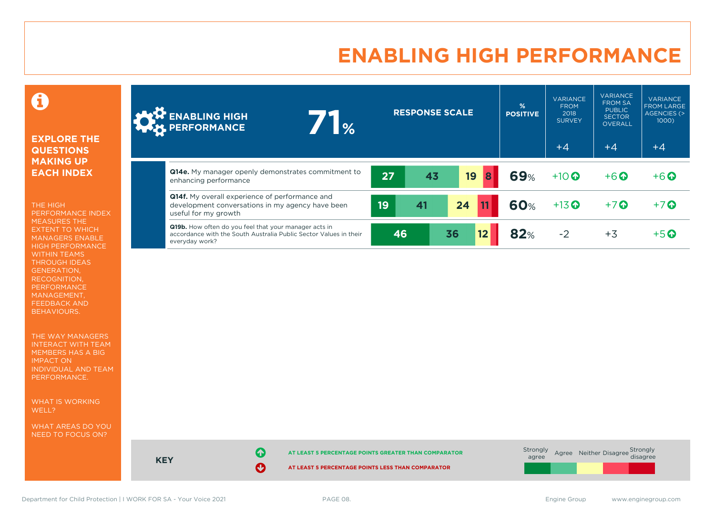### **ENABLING HIGH PERFORMANCE**

0

#### **EXPLORE THE QUESTIONS MAKING UP EACH INDEX**

THE HIGH PERFORMANCE INDEX MEASURES THE EXTENT TO WHICH MANAGERS ENABLE HIGH PERFORMANCE WITHIN TEAMS THROUGH IDEAS GENERATION, RECOGNITION, PERFORMANCE MANAGEMENT, FEEDBACK AND BEHAVIOURS.

THE WAY MANAGERS INTERACT WITH TEAM MEMBERS HAS A BIG IMPACT ON INDIVIDUAL AND TEAM PERFORMANCE.

WHAT IS WORKING WELL?

WHAT AREAS DO YOU NEED TO FOCUS ON?

| <b>AND ENABLING HIGH</b><br>$\mathbb{R}$                                                                                                     |    | <b>RESPONSE SCALE</b> |    |    | $\frac{9}{6}$<br><b>POSITIVE</b> | <b>VARIANCE</b><br><b>FROM</b><br>2018<br><b>SURVEY</b><br>$+4$ | <b>VARIANCE</b><br><b>FROM SA</b><br><b>PUBLIC</b><br><b>SECTOR</b><br><b>OVERALL</b><br>$+4$ | <b>VARIANCE</b><br><b>FROM LARGE</b><br>AGENCIES (><br>1000)<br>$+4$ |
|----------------------------------------------------------------------------------------------------------------------------------------------|----|-----------------------|----|----|----------------------------------|-----------------------------------------------------------------|-----------------------------------------------------------------------------------------------|----------------------------------------------------------------------|
| <b>Q14e.</b> My manager openly demonstrates commitment to<br>enhancing performance                                                           | 27 | 43                    | 19 | 8  | <b>69%</b>                       | $+10$                                                           | $+6$ <sup>O</sup>                                                                             | $+6$ <sup><math>\odot</math></sup>                                   |
| <b>Q14f.</b> My overall experience of performance and<br>development conversations in my agency have been<br>useful for my growth            | 19 | 41                    | 24 |    | <b>60%</b>                       | $+13$ <sup>O</sup>                                              | $+7$                                                                                          | $+7$ $\odot$                                                         |
| Q19b. How often do you feel that your manager acts in<br>accordance with the South Australia Public Sector Values in their<br>everyday work? | 46 |                       | 36 | 12 | <b>82%</b>                       | $-2$                                                            | $+3$                                                                                          | $+5$ $\odot$                                                         |



**KEY**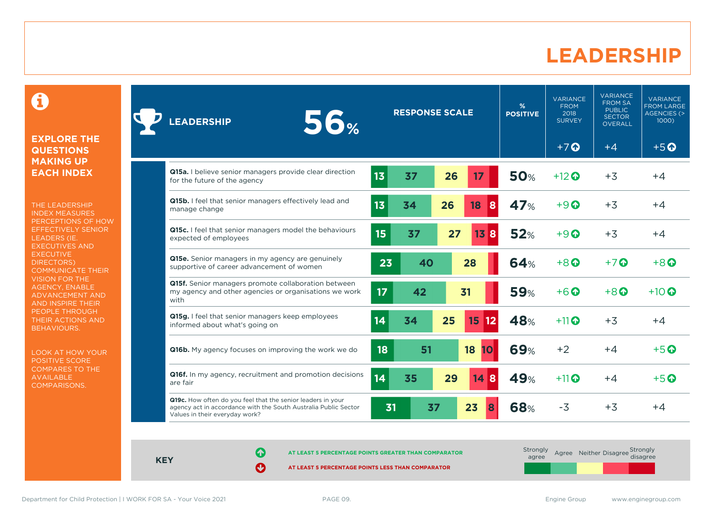### **LEADERSHIP**

0

#### **EXPLORE THE QUESTIONS MAKING UP EACH INDEX**

THE LEADERSHIP INDEX MEASURES PERCEPTIONS OF HOW EFFECTIVELY SENIOR LEADERS (IE. EXECUTIVES AND **EXECUTIVE** DIRECTORS) COMMUNICATE THEIR VISION FOR THE AGENCY, ENABLE ADVANCEMENT AND AND INSPIRE THEIR PEOPLE THROUGH THEIR ACTIONS AND BEHAVIOURS.

LOOK AT HOW YOUR POSITIVE SCORE COMPARES TO THE AVAILABLE COMPARISONS.

| <b>56%</b><br><b>LEADERSHIP</b>                                                                                                                                  |                 | <b>RESPONSE SCALE</b> |                         | %<br><b>POSITIVE</b> | <b>VARIANCE</b><br><b>FROM</b><br>2018<br><b>SURVEY</b> | <b>VARIANCE</b><br><b>FROM SA</b><br><b>PUBLIC</b><br><b>SECTOR</b><br><b>OVERALL</b> | <b>VARIANCE</b><br><b>FROM LARGE</b><br>AGENCIES (><br>1000 |
|------------------------------------------------------------------------------------------------------------------------------------------------------------------|-----------------|-----------------------|-------------------------|----------------------|---------------------------------------------------------|---------------------------------------------------------------------------------------|-------------------------------------------------------------|
|                                                                                                                                                                  |                 |                       |                         |                      | $+7$ <sup><math>\odot</math></sup>                      | $+4$                                                                                  | $+5$ <sup>O</sup>                                           |
| Q15a. I believe senior managers provide clear direction<br>for the future of the agency                                                                          | 13              | 37<br>26              | 17                      | <b>50%</b>           | $+12$ $\odot$                                           | $+3$                                                                                  | $+4$                                                        |
| Q15b. I feel that senior managers effectively lead and<br>manage change                                                                                          | 13<br>34        | 26                    | 18<br>8                 | 47%                  | $+9$ $\Omega$                                           | $+3$                                                                                  | $+4$                                                        |
| Q15c. I feel that senior managers model the behaviours<br>expected of employees                                                                                  | 15              | 37                    | 27<br>13<br>8           | 52%                  | $+9$ $\odot$                                            | $+3$                                                                                  | $+4$                                                        |
| Q15e. Senior managers in my agency are genuinely<br>supportive of career advancement of women                                                                    | 23              | 40                    | 28                      | <b>64%</b>           | $+8$ <sup><math>\odot</math></sup>                      | $+7$ $\odot$                                                                          | $+8$ <sup><math>\odot</math></sup>                          |
| Q15f. Senior managers promote collaboration between<br>my agency and other agencies or organisations we work<br>with                                             | 17 <sub>2</sub> | 42                    | 31                      | <b>59%</b>           | $+6\Omega$                                              | $+8$ <sup><math>\Omega</math></sup>                                                   | $+10$ $\odot$                                               |
| Q15g. I feel that senior managers keep employees<br>informed about what's going on                                                                               | 14              | 25<br>34              | 15<br>$12 \overline{ }$ | 48%                  | $+11$                                                   | $+3$                                                                                  | $+4$                                                        |
| <b>Q16b.</b> My agency focuses on improving the work we do                                                                                                       | 18              | 51                    | 18<br>10                | <b>69%</b>           | $+2$                                                    | $+4$                                                                                  | $+5$ <sup>O</sup>                                           |
| Q16f. In my agency, recruitment and promotion decisions<br>are fair                                                                                              | 14              | 35<br>29              | 8<br>14 <sup>1</sup>    | 49%                  | $+11$                                                   | $+4$                                                                                  | $+5$ $\odot$                                                |
| Q19c. How often do you feel that the senior leaders in your<br>agency act in accordance with the South Australia Public Sector<br>Values in their everyday work? | 31              | 37                    | 23                      | 68%                  | $-3$                                                    | $+3$                                                                                  | $+4$                                                        |

**KEY**

**AT LEAST 5 PERCENTAGE POINTS GREATER THAN COMPARATOR** 

**AT LEAST 5 PERCENTAGE POINTS LESS THAN COMPARATOR** 

**Strongly** agree Agree Neither Disagree Strongly<br>disagree

Department for Child Protection | I WORK FOR SA - Your Voice 2021 **PAGE 09.** PAGE 09. Engine Group www.enginegroup.com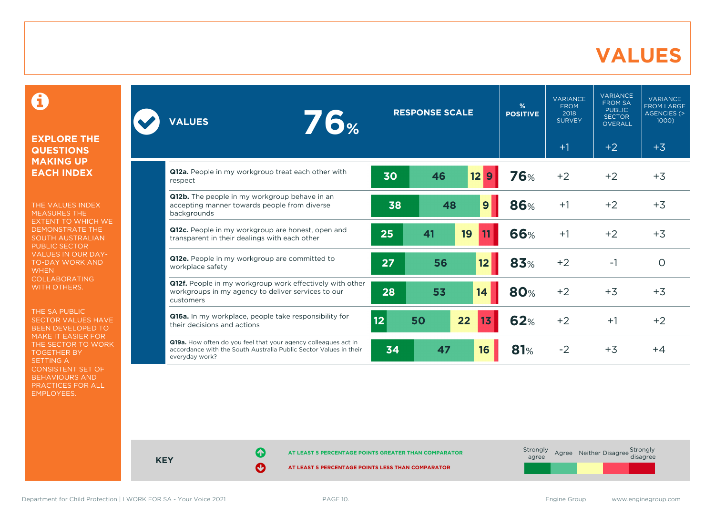### **VALUES**

0

#### **EXPLORE THE QUESTIONS MAKING UP EACH INDEX**

THE VALUES INDEX MEASURES THE EXTENT TO WHICH WE DEMONSTRATE THE SOUTH AUSTRALIAN PUBLIC SECTOR VALUES IN OUR DAY-TO-DAY WORK AND **WHEN** COLLABORATING WITH OTHERS.

THE SA PUBLIC SECTOR VALUES HAVE BEEN DEVELOPED TO MAKE IT EASIER FOR THE SECTOR TO WORK TOGETHER BY SETTING A CONSISTENT SET OF BEHAVIOURS AND PRACTICES FOR ALL EMPLOYEES.

| <b>76%</b><br><b>VALUES</b>                                                                                                                           |    | <b>RESPONSE SCALE</b> |                      | %<br><b>POSITIVE</b> | <b>VARIANCE</b><br><b>FROM</b><br>2018<br><b>SURVEY</b> | <b>VARIANCE</b><br><b>FROM SA</b><br><b>PUBLIC</b><br><b>SECTOR</b><br><b>OVERALL</b> | <b>VARIANCE</b><br><b>FROM LARGE</b><br>AGENCIES (><br>1000 |
|-------------------------------------------------------------------------------------------------------------------------------------------------------|----|-----------------------|----------------------|----------------------|---------------------------------------------------------|---------------------------------------------------------------------------------------|-------------------------------------------------------------|
|                                                                                                                                                       |    |                       |                      |                      | $+1$                                                    | $+2$                                                                                  | $+3$                                                        |
| Q12a. People in my workgroup treat each other with<br>respect                                                                                         | 30 | 46                    | 12 <sub>2</sub><br>9 | 76%                  | $+2$                                                    | $+2$                                                                                  | $+3$                                                        |
| Q12b. The people in my workgroup behave in an<br>accepting manner towards people from diverse<br>backgrounds                                          | 38 | 48                    | 9                    | <b>86%</b>           | $+1$                                                    | $+2$                                                                                  | $+3$                                                        |
| Q12c. People in my workgroup are honest, open and<br>transparent in their dealings with each other                                                    | 25 | 41                    | 19                   | 66%                  | $+1$                                                    | $+2$                                                                                  | $+3$                                                        |
| Q12e. People in my workgroup are committed to<br>workplace safety                                                                                     | 27 | 56                    | 12                   | 83%                  | $+2$                                                    | $-1$                                                                                  | $\circ$                                                     |
| <b>Q12f.</b> People in my workgroup work effectively with other<br>workgroups in my agency to deliver services to our<br>customers                    | 28 | 53                    | 14                   | <b>80%</b>           | $+2$                                                    | $+3$                                                                                  | $+3$                                                        |
| Q16a. In my workplace, people take responsibility for<br>their decisions and actions                                                                  | 12 | 50                    | 22<br>13             | 62%                  | $+2$                                                    | $+1$                                                                                  | $+2$                                                        |
| Q19a. How often do you feel that your agency colleagues act in<br>accordance with the South Australia Public Sector Values in their<br>everyday work? | 34 | 47                    | 16                   | 81%                  | $-2$                                                    | $+3$                                                                                  | $+4$                                                        |



**KEY**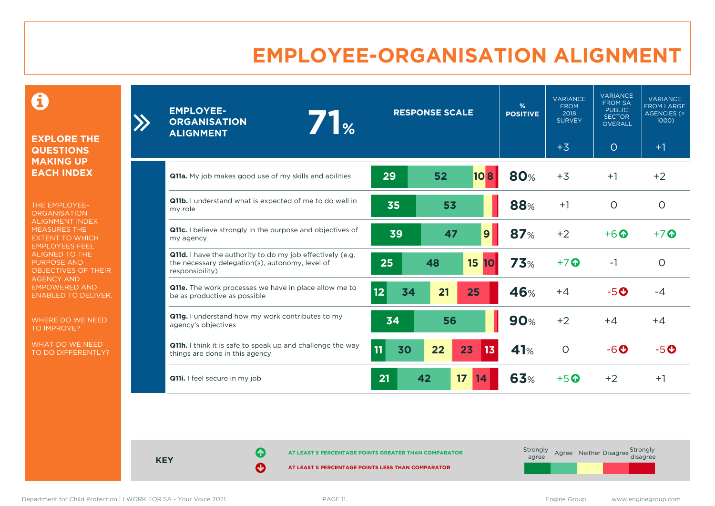### **EMPLOYEE-ORGANISATION ALIGNMENT**

0

**EXPLORE THE QUESTIONS MAKING UP EACH INDEX**

THE EMPLOYEE-**ORGANISATION** ALIGNMENT INDEX MEASURES THE EXTENT TO WHICH EMPLOYEES FEEL ALIGNED TO THE PURPOSE AND OBJECTIVES OF THEIR AGENCY AND EMPOWERED AND ENABLED TO DELIVER.

WHERE DO WE NEED TO IMPROVE?

WHAT DO WE NEED TO DO DIFFERENTLY?

| <b>EMPLOYEE-</b><br>71%<br><b>ORGANISATION</b><br><b>ALIGNMENT</b>                                                              |          | <b>RESPONSE SCALE</b> |              | $\frac{9}{6}$<br><b>POSITIVE</b> | <b>VARIANCE</b><br><b>FROM</b><br>2018<br><b>SURVEY</b> | <b>VARIANCE</b><br><b>FROM SA</b><br><b>PUBLIC</b><br><b>SECTOR</b><br><b>OVERALL</b> | <b>VARIANCE</b><br><b>FROM LARGE</b><br>AGENCIES (><br>$1000$ ) |
|---------------------------------------------------------------------------------------------------------------------------------|----------|-----------------------|--------------|----------------------------------|---------------------------------------------------------|---------------------------------------------------------------------------------------|-----------------------------------------------------------------|
|                                                                                                                                 |          |                       |              |                                  | $+3$                                                    | $\circ$                                                                               | $+1$                                                            |
| Q11a. My job makes good use of my skills and abilities                                                                          | 29       | 52                    | 10B          | <b>80%</b>                       | $+3$                                                    | $+1$                                                                                  | $+2$                                                            |
| Q11b. I understand what is expected of me to do well in<br>my role                                                              | 35       | 53                    |              | 88%                              | $+1$                                                    | $\circ$                                                                               | $\circ$                                                         |
| Q11c. I believe strongly in the purpose and objectives of<br>my agency                                                          | 39       | 47                    | 9            | 87%                              | $+2$                                                    | $+6$ $\odot$                                                                          | $+7$ $\odot$                                                    |
| Q11d. I have the authority to do my job effectively (e.g.<br>the necessary delegation(s), autonomy, level of<br>responsibility) | 25       | 48                    | <b>15 10</b> | 73%                              | $+7$ $\odot$                                            | $-1$                                                                                  | $\circ$                                                         |
| <b>Q11e.</b> The work processes we have in place allow me to<br>be as productive as possible                                    | 12<br>34 | 21                    | 25           | 46%                              | $+4$                                                    | $-5o$                                                                                 | $-4$                                                            |
| Q11g. I understand how my work contributes to my<br>agency's objectives                                                         | 34       | 56                    |              | <b>90%</b>                       | $+2$                                                    | $+4$                                                                                  | $+4$                                                            |
| Q11h. I think it is safe to speak up and challenge the way<br>things are done in this agency                                    | 11<br>30 | 22                    | 13<br>23     | 41%                              | $\circ$                                                 | $-6o$                                                                                 | $-5o$                                                           |
| Q11i. I feel secure in my job                                                                                                   | 21       | 17<br>42              | 14           | 63%                              | $+5$ <sup>O</sup>                                       | $+2$                                                                                  | $+1$                                                            |

**KEY**

**AT LEAST 5 PERCENTAGE POINTS GREATER THAN COMPARATOR**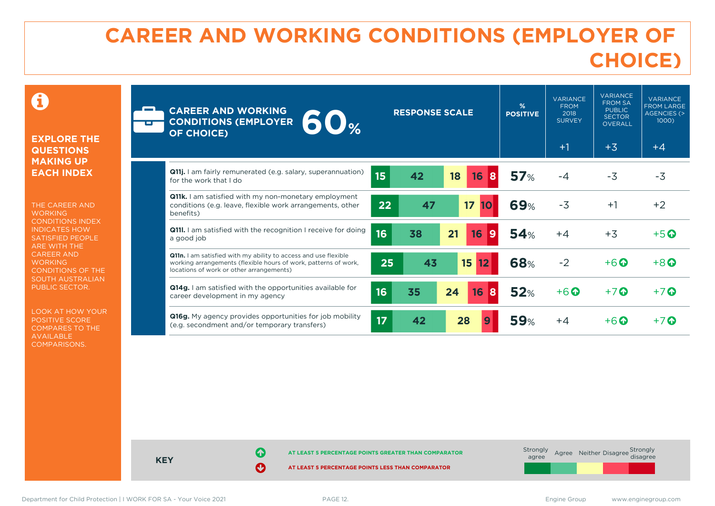### **CAREER AND WORKING CONDITIONS (EMPLOYER OF CHOICE)**

 $\mathbf \Omega$ 

#### **EXPLORE THE QUESTIONS MAKING UP EACH INDEX**

THE CAREER AND **WORKING** CONDITIONS INDEX INDICATES HOW SATISFIED PEOPLE ARE WITH THE CAREER AND **WORKING** CONDITIONS OF THE SOUTH AUSTRALIAN PUBLIC SECTOR.

LOOK AT HOW YOUR POSITIVE SCORE COMPARES TO THE AVAILABLE COMPARISONS.

| <b>CAREER AND WORKING</b><br>60 <sub>%</sub><br><b>CONDITIONS (EMPLOYER</b><br><b>OF CHOICE)</b>                                                                               |                  | <b>RESPONSE SCALE</b> |                         | %<br><b>POSITIVE</b> | <b>VARIANCE</b><br><b>FROM</b><br>2018<br><b>SURVEY</b><br>$+1$ | <b>VARIANCE</b><br><b>FROM SA</b><br><b>PUBLIC</b><br><b>SECTOR</b><br><b>OVERALL</b><br>$+3$ | <b>VARIANCE</b><br><b>FROM LARGE</b><br><b>AGENCIES (&gt;</b><br>1000)<br>$+4$ |
|--------------------------------------------------------------------------------------------------------------------------------------------------------------------------------|------------------|-----------------------|-------------------------|----------------------|-----------------------------------------------------------------|-----------------------------------------------------------------------------------------------|--------------------------------------------------------------------------------|
| <b>Q11j.</b> I am fairly remunerated (e.g. salary, superannuation)<br>for the work that I do                                                                                   | 15 <sub>15</sub> | 42                    | 18<br>16<br>8           | 57%                  | $-4$                                                            | $-3$                                                                                          | $-3$                                                                           |
| <b>Q11k.</b> I am satisfied with my non-monetary employment<br>conditions (e.g. leave, flexible work arrangements, other<br>benefits)                                          | 22               | 47                    | 17<br>10                | <b>69%</b>           | $-3$                                                            | $+1$                                                                                          | $+2$                                                                           |
| Q111. I am satisfied with the recognition I receive for doing<br>a good job                                                                                                    | 16               | 38                    | 21<br>16<br>9           | <b>54%</b>           | $+4$                                                            | $+3$                                                                                          | $+5$ <sup><math>\odot</math></sup>                                             |
| Q11n. I am satisfied with my ability to access and use flexible<br>working arrangements (flexible hours of work, patterns of work,<br>locations of work or other arrangements) | 25               | 43                    | 15 <sub>15</sub><br> 12 | 68%                  | $-2$                                                            | $+6$ $\odot$                                                                                  | $+8$ <sup><math>\odot</math></sup>                                             |
| <b>Q14g.</b> I am satisfied with the opportunities available for<br>career development in my agency                                                                            | 16               | 35                    | 24<br>16<br>8           | 52%                  | $+6$ $\odot$                                                    | $+7$ $\odot$                                                                                  | $+7$ $\odot$                                                                   |
| <b>Q16g.</b> My agency provides opportunities for job mobility<br>(e.g. secondment and/or temporary transfers)                                                                 | 17               | 42                    | 28                      | <b>59%</b>           | $+4$                                                            | $+6$ $\odot$                                                                                  | $+7$ M                                                                         |



Department for Child Protection | I WORK FOR SA - Your Voice 2021 **PAGE 12.** PAGE 12. Engine Group www.enginegroup.com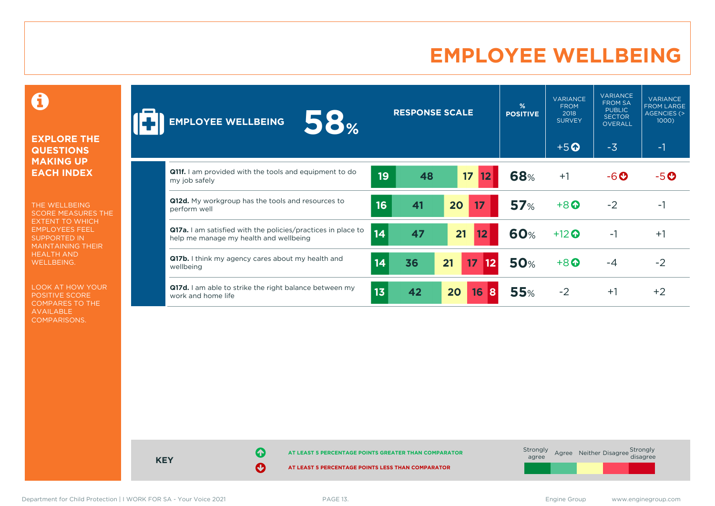### **EMPLOYEE WELLBEING**

0

#### **EXPLORE THE QUESTIONS MAKING UP EACH INDEX**

THE WELLBEING SCORE MEASURES THE EXTENT TO WHICH EMPLOYEES FEEL SUPPORTED IN MAINTAINING THEIR HEALTH AND WELLBEING.

LOOK AT HOW YOUR POSITIVE SCORE COMPARES TO THE AVAILABLE COMPARISONS.

| 58%<br><b>EMPLOYEE WELLBEING</b>                                                                              |                 | <b>RESPONSE SCALE</b> |                              | %<br><b>POSITIVE</b> | <b>VARIANCE</b><br><b>FROM</b><br>2018<br><b>SURVEY</b> | <b>VARIANCE</b><br><b>FROM SA</b><br><b>PUBLIC</b><br><b>SECTOR</b><br>OVERALL | <b>VARIANCE</b><br><b>FROM LARGE</b><br>AGENCIES (><br>1000) |
|---------------------------------------------------------------------------------------------------------------|-----------------|-----------------------|------------------------------|----------------------|---------------------------------------------------------|--------------------------------------------------------------------------------|--------------------------------------------------------------|
|                                                                                                               |                 |                       |                              |                      | $+5$ <sup>O</sup>                                       | $-3$                                                                           | $-1$                                                         |
| <b>Q11f.</b> I am provided with the tools and equipment to do<br>my job safely                                | 19              | 48                    | 17<br>12                     | 68%                  | $+1$                                                    | $-6o$                                                                          | $-5o$                                                        |
| Q12d. My workgroup has the tools and resources to<br>perform well                                             | 16              | 41                    | 20<br>17                     | 57%                  | $+8$ <sup><math>\odot</math></sup>                      | $-2$                                                                           | -1                                                           |
| <b>Q17a.</b> I am satisfied with the policies/practices in place to<br>help me manage my health and wellbeing | 14              | 47                    | 21<br>12                     | <b>60%</b>           | $+12$ $\odot$                                           | $-1$                                                                           | $+1$                                                         |
| <b>Q17b.</b> I think my agency cares about my health and<br>wellbeing                                         | 14              | 36                    | 21<br>17 <sup>2</sup><br> 12 | <b>50%</b>           | $+8$ <sup><math>\odot</math></sup>                      | $-4$                                                                           | $-2$                                                         |
| Q17d. I am able to strike the right balance between my<br>work and home life                                  | 13 <sub>1</sub> | 42                    | 16<br>20<br>8                | <b>55%</b>           | $-2$                                                    | $+1$                                                                           | $+2$                                                         |

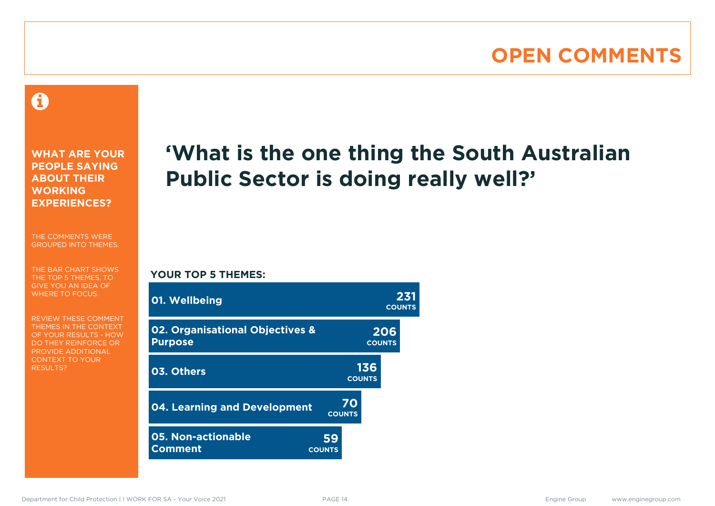### **OPEN COMMENTS**

### Ô

**WHAT ARE YOUR PEOPLE SAYING ABOUT THEIR WORKING EXPERIENCES?**

THE COMMENTS WERE GROUPED INTO THEMES.

THE BAR CHART SHOWS THE TOP 5 THEMES, TO GIVE YOU AN IDEA OF WHERE TO FOCUS.

REVIEW THESE COMMENT THEMES IN THE CONTEXT OF YOUR RESULTS - HOW DO THEY REINFORCE OR PROVIDE ADDITIONAL CONTEXT TO YOUR **RESULTS?** 

### **'What is the one thing the South Australian Public Sector is doing really well?'**

#### **YOUR TOP 5 THEMES:**

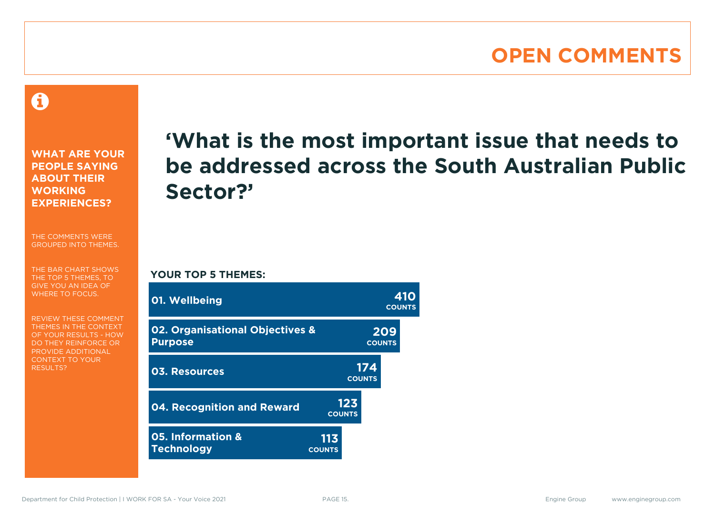### **OPEN COMMENTS**

A

**WHAT ARE YOUR PEOPLE SAYING ABOUT THEIR WORKING EXPERIENCES?**

THE COMMENTS WERE GROUPED INTO THEMES.

THE BAR CHART SHOWS THE TOP 5 THEMES, TO GIVE YOU AN IDEA OF WHERE TO FOCUS.

REVIEW THESE COMMENT THEMES IN THE CONTEXT OF YOUR RESULTS - HOW DO THEY REINFORCE OR PROVIDE ADDITIONAL CONTEXT TO YOUR **RESULTS?** 

### **'What is the most important issue that needs to be addressed across the South Australian Public Sector?'**

**YOUR TOP 5 THEMES:**

| 01. Wellbeing                                     |                      |                      | 410<br><b>COUNTS</b> |
|---------------------------------------------------|----------------------|----------------------|----------------------|
| 02. Organisational Objectives &<br><b>Purpose</b> |                      |                      | 209<br><b>COUNTS</b> |
| 03. Resources                                     |                      | 174<br><b>COUNTS</b> |                      |
| <b>04. Recognition and Reward</b>                 | <b>COUNTS</b>        | 123                  |                      |
| 05. Information &<br><b>Technology</b>            | 113<br><b>COUNTS</b> |                      |                      |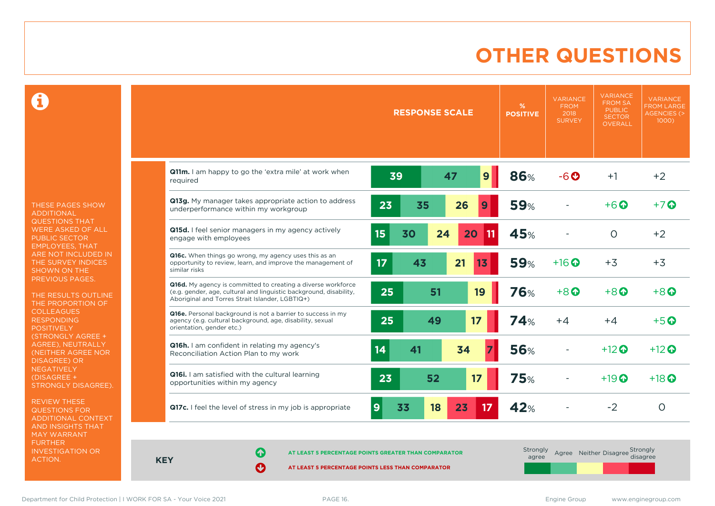### **OTHER QUESTIONS**

0

THESE PAGES SHOW ADDITIONAL QUESTIONS THAT WERE ASKED OF ALL PUBLIC SECTOR EMPLOYEES, THAT ARE NOT INCLUDED IN THE SURVEY INDICES SHOWN ON THE PREVIOUS PAGES.

THE RESULTS OUTLINE THE PROPORTION OF COLLEAGUES RESPONDING POSITIVELY (STRONGLY AGREE + AGREE), NEUTRALLY (NEITHER AGREE NOR DISAGREE) OR **NEGATIVELY** (DISAGREE + STRONGLY DISAGREE).

REVIEW THESE QUESTIONS FOR ADDITIONAL CONTEXT AND INSIGHTS THAT MAY WARRANT FURTHER INVESTIGATION OR ACTION.

|                                                                                                                                                                                       |                      | <b>RESPONSE SCALE</b> |    |    | %<br><b>POSITIVE</b> | <b>VARIANCE</b><br><b>FROM</b><br>2018<br><b>SURVEY</b> | <b>VARIANCE</b><br><b>FROM SA</b><br><b>PUBLIC</b><br><b>SECTOR</b><br><b>OVERALL</b> | <b>VARIANCE</b><br><b>FROM LARGE</b><br><b>AGENCIES (&gt;</b><br>$1000$ ) |
|---------------------------------------------------------------------------------------------------------------------------------------------------------------------------------------|----------------------|-----------------------|----|----|----------------------|---------------------------------------------------------|---------------------------------------------------------------------------------------|---------------------------------------------------------------------------|
| Q11m. I am happy to go the 'extra mile' at work when<br>required                                                                                                                      | 39                   |                       | 47 | 9  | 86%                  | $-6o$                                                   | $+1$                                                                                  | $+2$                                                                      |
| Q13g. My manager takes appropriate action to address<br>underperformance within my workgroup                                                                                          | 23                   | 35                    | 26 | 9  | <b>59%</b>           |                                                         | $+6\Omega$                                                                            | $+7$ $\odot$                                                              |
| Q15d. I feel senior managers in my agency actively<br>engage with employees                                                                                                           | 15                   | 30<br>24              | 20 | 11 | 45%                  |                                                         | $\circ$                                                                               | $+2$                                                                      |
| Q16c. When things go wrong, my agency uses this as an<br>opportunity to review, learn, and improve the management of<br>similar risks                                                 | 17                   | 43                    | 21 | 13 | <b>59%</b>           | $+16$ <sup><math>\odot</math></sup>                     | $+3$                                                                                  | $+3$                                                                      |
| Q16d. My agency is committed to creating a diverse workforce<br>(e.g. gender, age, cultural and linguistic background, disability,<br>Aboriginal and Torres Strait Islander, LGBTIQ+) | 25                   | 51                    |    | 19 | 76%                  | $+8$ $\odot$                                            | $+8$ <sup><math>\odot</math></sup>                                                    | $+8$ <sup><math>\odot</math></sup>                                        |
| Q16e. Personal background is not a barrier to success in my<br>agency (e.g. cultural background, age, disability, sexual<br>orientation, gender etc.)                                 | 25                   | 49                    | 17 |    | 74%                  | $+4$                                                    | $+4$                                                                                  | $+5$ <sup>O</sup>                                                         |
| <b>Q16h.</b> I am confident in relating my agency's<br>Reconciliation Action Plan to my work                                                                                          | 14                   | 41                    | 34 |    | <b>56%</b>           |                                                         | $+12$ $\odot$                                                                         | $+12$ <sup><math>\odot</math></sup>                                       |
| Q16i. I am satisfied with the cultural learning<br>opportunities within my agency                                                                                                     | 23                   | 52                    | 17 |    | <b>75%</b>           |                                                         | $+19$ $\odot$                                                                         | $+18$ $\odot$                                                             |
| Q17c. I feel the level of stress in my job is appropriate                                                                                                                             | 33<br>$\overline{9}$ | 18                    | 23 | 17 | 42%                  |                                                         | $-2$                                                                                  | $\circ$                                                                   |

**KEY**

**AT LEAST 5 PERCENTAGE POINTS GREATER THAN COMPARATOR**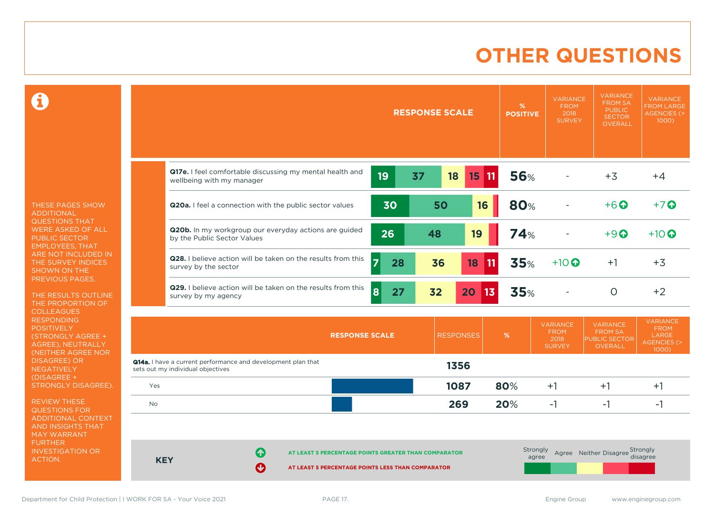### **OTHER QUESTIONS**

 $\mathbf \Omega$ 

THESE PAGES SHOW ADDITIONAL QUESTIONS THAT WERE ASKED OF ALL PUBLIC SECTOR EMPLOYEES, THAT ARE NOT INCLUDED IN THE SURVEY INDICES SHOWN ON THE PREVIOUS PAGES.

THE RESULTS OUTLINE THE PROPORTION OF COLLEAGUES RESPONDING **POSITIVELY** (STRONGLY AGREE + AGREE), NEUTRALLY (NEITHER AGREE NOR DISAGREE) OR NEGATIVELY (DISAGREE + STRONGLY DISAGREE).

REVIEW THESE QUESTIONS FOR ADDITIONAL CONTEXT AND INSIGHTS THAT MAY WARRANT FURTHER INVESTIGATION OR ACTION.

| Q17e. I feel comfortable discussing my mental health and<br>19<br><b>56%</b><br>37<br>18<br>$15 \text{ m}$<br>wellbeing with my manager<br>80%<br>50<br>30<br>16<br>Q20a. I feel a connection with the public sector values<br>Q20b. In my workgroup our everyday actions are guided<br>26<br>48<br>19<br>74%<br>by the Public Sector Values<br>Q28. I believe action will be taken on the results from this<br>35%<br>$\overline{7}$<br>28<br>36<br>18<br>$ 11\rangle$<br>$+10$ $\odot$<br>survey by the sector | <b>RESPONSE SCALE</b> | %<br><b>POSITIVE</b> | <b>VARIANCE</b><br><b>FROM</b><br>2018<br><b>SURVEY</b> | <b>VARIANCE</b><br><b>FROM SA</b><br><b>PUBLIC</b><br><b>SECTOR</b><br><b>OVERALL</b> | <b>VARIANCE</b><br><b>FROM LARGE</b><br>AGENCIES (><br>1000) |
|------------------------------------------------------------------------------------------------------------------------------------------------------------------------------------------------------------------------------------------------------------------------------------------------------------------------------------------------------------------------------------------------------------------------------------------------------------------------------------------------------------------|-----------------------|----------------------|---------------------------------------------------------|---------------------------------------------------------------------------------------|--------------------------------------------------------------|
|                                                                                                                                                                                                                                                                                                                                                                                                                                                                                                                  |                       |                      |                                                         | $+3$                                                                                  | $+4$                                                         |
|                                                                                                                                                                                                                                                                                                                                                                                                                                                                                                                  |                       |                      |                                                         | $+6$ $\odot$                                                                          | $+7$                                                         |
|                                                                                                                                                                                                                                                                                                                                                                                                                                                                                                                  |                       |                      |                                                         | $+9$                                                                                  | $+10$ $\odot$                                                |
|                                                                                                                                                                                                                                                                                                                                                                                                                                                                                                                  |                       |                      |                                                         | $+1$                                                                                  | $+3$                                                         |
| Q29. I believe action will be taken on the results from this<br>8<br>35%<br>27<br>32<br>20<br> 13 <br>survey by my agency                                                                                                                                                                                                                                                                                                                                                                                        |                       |                      |                                                         | $\circ$                                                                               | $+2$                                                         |

|                                                                                                   |                            | <b>RESPONSE SCALE</b>                                                                                     | <b>RESPONSES</b> | %   | <b>VARIANCE</b><br><b>FROM</b><br>2018<br><b>SURVEY</b> | <b>VARIANCE</b><br><b>FROM SA</b><br><b>PUBLIC SECTOR</b><br><b>OVERALL</b> | <b>VARIANCE</b><br><b>FROM</b><br>LARGE<br>AGENCIES (><br>1000) |
|---------------------------------------------------------------------------------------------------|----------------------------|-----------------------------------------------------------------------------------------------------------|------------------|-----|---------------------------------------------------------|-----------------------------------------------------------------------------|-----------------------------------------------------------------|
| Q14a. I have a current performance and development plan that<br>sets out my individual objectives |                            |                                                                                                           | 1356             |     |                                                         |                                                                             |                                                                 |
| Yes                                                                                               |                            |                                                                                                           | 1087             | 80% | $+1$                                                    | $+1$                                                                        | $+$                                                             |
| <b>No</b>                                                                                         |                            |                                                                                                           | 269              | 20% | $-1$                                                    | ٠                                                                           | ÷.                                                              |
|                                                                                                   |                            |                                                                                                           |                  |     |                                                         |                                                                             |                                                                 |
| <b>KEY</b>                                                                                        | 0<br>$\boldsymbol{\Theta}$ | AT LEAST 5 PERCENTAGE POINTS GREATER THAN COMPARATOR<br>AT LEAST 5 PERCENTAGE POINTS LESS THAN COMPARATOR |                  |     | Strongly<br>agree                                       | Agree Neither Disagree                                                      | Strongly<br>disagree                                            |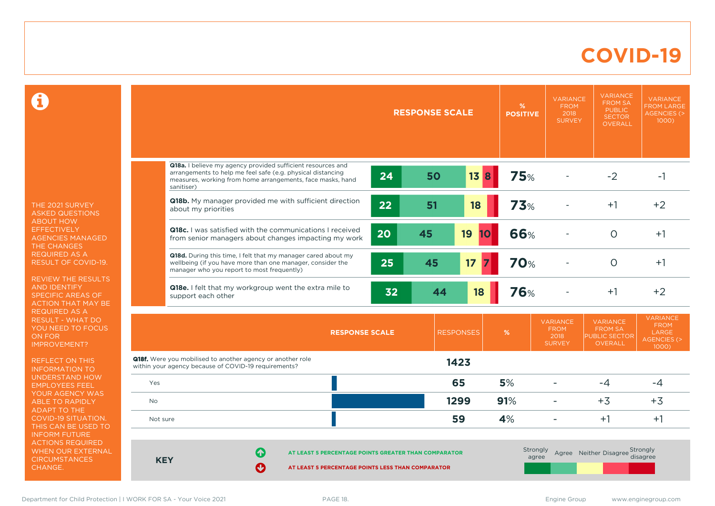### **COVID-19**

 $\mathbf \Omega$ 

THE 2021 SURVEY ASKED QUESTIONS ABOUT HOW EFFECTIVELY AGENCIES MANAGED THE CHANGES REQUIRED AS A RESULT OF COVID-19.

REVIEW THE RESULTS AND IDENTIFY SPECIFIC AREAS OF ACTION THAT MAY BE REQUIRED AS A RESULT - WHAT DO YOU NEED TO FOCUS ON FOR IMPROVEMENT?

REFLECT ON THIS INFORMATION TO UNDERSTAND HOW EMPLOYEES FEEL YOUR AGENCY WAS ABLE TO RAPIDLY ADAPT TO THE COVID-19 SITUATION. THIS CAN BE USED TO INFORM FUTURE ACTIONS REQUIRED WHEN OUR EXTERNAL **CIRCUMSTANCES** CHANGE.

|            |                                                                                                                                                                                                        |                       | <b>RESPONSE SCALE</b> |                  | %<br><b>POSITIVE</b> | <b>VARIANCE</b><br><b>FROM</b><br>2018<br><b>SURVEY</b> | <b>VARIANCE</b><br><b>FROM SA</b><br><b>PUBLIC</b><br><b>SECTOR</b><br>OVERALL | <b>VARIANCE</b><br><b>FROM LARGE</b><br><b>AGENCIES (&gt;</b><br>$1000$ )        |
|------------|--------------------------------------------------------------------------------------------------------------------------------------------------------------------------------------------------------|-----------------------|-----------------------|------------------|----------------------|---------------------------------------------------------|--------------------------------------------------------------------------------|----------------------------------------------------------------------------------|
|            | Q18a. I believe my agency provided sufficient resources and<br>arrangements to help me feel safe (e.g. physical distancing<br>measures, working from home arrangements, face masks, hand<br>sanitiser) | 24                    | 50                    | 13<br>8          | <b>75%</b>           |                                                         | $-2$                                                                           | $-1$                                                                             |
|            | Q18b. My manager provided me with sufficient direction<br>about my priorities                                                                                                                          | 22                    | 51                    | 18               | <b>73%</b>           |                                                         | $+1$                                                                           | $+2$                                                                             |
|            | <b>Q18c.</b> I was satisfied with the communications I received<br>from senior managers about changes impacting my work                                                                                | 20                    | 45                    | 19<br><b>10</b>  | 66%                  |                                                         | $\circ$                                                                        | $+1$                                                                             |
|            | Q18d. During this time, I felt that my manager cared about my<br>wellbeing (if you have more than one manager, consider the<br>manager who you report to most frequently)                              | 25                    | 45                    | 17               | <b>70%</b>           |                                                         | $\circ$                                                                        | $+1$                                                                             |
|            | Q18e. I felt that my workgroup went the extra mile to<br>support each other                                                                                                                            | 32                    | 44                    | 18               | <b>76%</b>           |                                                         | $+1$                                                                           | $+2$                                                                             |
|            |                                                                                                                                                                                                        | <b>RESPONSE SCALE</b> |                       | <b>RESPONSES</b> | %                    | <b>VARIANCE</b><br><b>FROM</b><br>2018<br><b>SURVEY</b> | <b>VARIANCE</b><br><b>FROM SA</b><br><b>PUBLIC SECTOR</b><br><b>OVERALL</b>    | <b>VARIANCE</b><br><b>FROM</b><br><b>LARGE</b><br><b>AGENCIES (&gt;</b><br>1000) |
|            | <b>Q18f.</b> Were you mobilised to another agency or another role<br>within your agency because of COVID-19 requirements?                                                                              |                       |                       | 1423             |                      |                                                         |                                                                                |                                                                                  |
| Yes        |                                                                                                                                                                                                        |                       |                       | 65               | 5%                   | ۰                                                       | $-4$                                                                           | $-4$                                                                             |
| No         |                                                                                                                                                                                                        |                       |                       | 1299             | 91%                  | ۳                                                       | $+3$                                                                           | $+3$                                                                             |
| Not sure   |                                                                                                                                                                                                        |                       |                       | 59               | 4%                   | ÷                                                       | $+1$                                                                           | $+1$                                                                             |
| <b>KEY</b> | 61<br>AT LEAST 5 PERCENTAGE POINTS GREATER THAN COMPARATOR<br>Ø<br>AT LEAST 5 PERCENTAGE POINTS LESS THAN COMPARATOR                                                                                   |                       |                       |                  | Strongly<br>agree    |                                                         | Agree Neither Disagree Strongly                                                | disagree                                                                         |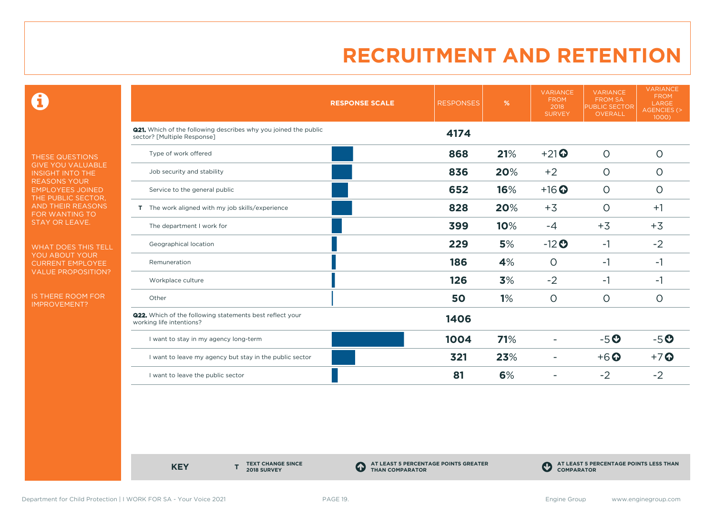0

THESE QUESTIONS GIVE YOU VALUABLE INSIGHT INTO THE REASONS YOUR EMPLOYEES JOINED THE PUBLIC SECTOR, AND THEIR REASONS FOR WANTING TO STAY OR LEAVE.

WHAT DOES THIS TELL YOU ABOUT YOUR CURRENT EMPLOYEE VALUE PROPOSITION?

IS THERE ROOM FOR IMPROVEMENT?

|                                                                                                       | <b>RESPONSE SCALE</b> | <b>RESPONSES</b> | %   | <b>VARIANCE</b><br><b>FROM</b><br>2018<br><b>SURVEY</b> | <b>VARIANCE</b><br><b>FROM SA</b><br><b>PUBLIC SECTOR</b><br><b>OVERALL</b> | <b>VARIANCE</b><br><b>FROM</b><br>LARGE<br><b>AGENCIES (&gt;</b><br>1000) |
|-------------------------------------------------------------------------------------------------------|-----------------------|------------------|-----|---------------------------------------------------------|-----------------------------------------------------------------------------|---------------------------------------------------------------------------|
| <b>Q21.</b> Which of the following describes why you joined the public<br>sector? [Multiple Response] |                       | 4174             |     |                                                         |                                                                             |                                                                           |
| Type of work offered                                                                                  |                       | 868              | 21% | $+21$                                                   | $\circ$                                                                     | $\circ$                                                                   |
| Job security and stability                                                                            |                       | 836              | 20% | $+2$                                                    | $\circ$                                                                     | O                                                                         |
| Service to the general public                                                                         |                       | 652              | 16% | $+16$ <sup>O</sup>                                      | $\circ$                                                                     | $\circ$                                                                   |
| T The work aligned with my job skills/experience                                                      |                       | 828              | 20% | $+3$                                                    | $\circ$                                                                     | $+1$                                                                      |
| The department I work for                                                                             |                       | 399              | 10% | $-4$                                                    | $+3$                                                                        | $+3$                                                                      |
| Geographical location                                                                                 |                       | 229              | 5%  | $-12$ <sup>O</sup>                                      | $-1$                                                                        | $-2$                                                                      |
| Remuneration                                                                                          |                       | 186              | 4%  | $\circ$                                                 | $-1$                                                                        | $-1$                                                                      |
| Workplace culture                                                                                     |                       | 126              | 3%  | $-2$                                                    | $-1$                                                                        | $-1$                                                                      |
| Other                                                                                                 |                       | 50               | 1%  | $\circ$                                                 | $\circ$                                                                     | O                                                                         |
| <b>Q22.</b> Which of the following statements best reflect your<br>working life intentions?           |                       | 1406             |     |                                                         |                                                                             |                                                                           |
| I want to stay in my agency long-term                                                                 |                       | 1004             | 71% |                                                         | $-5o$                                                                       | $-5o$                                                                     |
| I want to leave my agency but stay in the public sector                                               |                       | 321              | 23% |                                                         | $+6$ <sup>O</sup>                                                           | $+7$                                                                      |
| I want to leave the public sector                                                                     |                       | 81               | 6%  |                                                         | $-2$                                                                        | $-2$                                                                      |

**KEY** 

**TEXT CHANGE SINCE 2018 SURVEY**

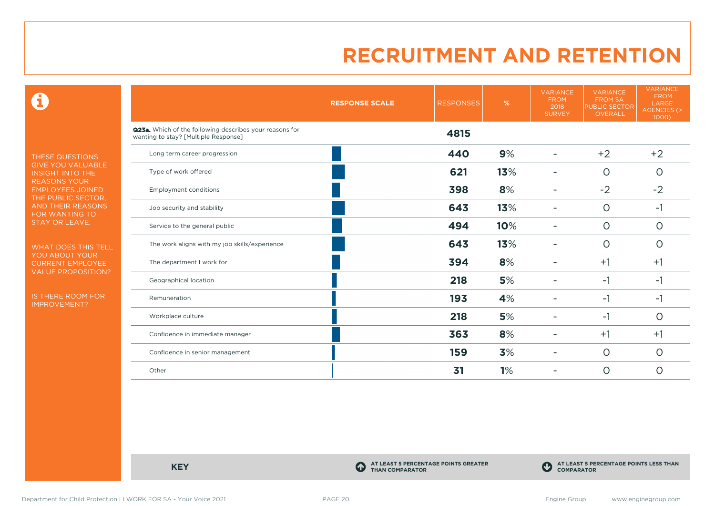0

THESE QUESTIONS GIVE YOU VALUABLE INSIGHT INTO THE REASONS YOUR EMPLOYEES JOINED THE PUBLIC SECTOR, AND THEIR REASONS FOR WANTING TO STAY OR LEAVE.

WHAT DOES THIS TELL YOU ABOUT YOUR CURRENT EMPLOYEE VALUE PROPOSITION?

IS THERE ROOM FOR IMPROVEMENT?

|                                                                                                 | <b>RESPONSE SCALE</b> | <b>RESPONSES</b> | %   | <b>VARIANCE</b><br><b>FROM</b><br>2018<br><b>SURVEY</b> | <b>VARIANCE</b><br><b>FROM SA</b><br><b>PUBLIC SECTOR</b><br>OVERALL | <b>VARIANCE</b><br><b>FROM</b><br>LARGE<br>AGENCIES (><br>1000) |
|-------------------------------------------------------------------------------------------------|-----------------------|------------------|-----|---------------------------------------------------------|----------------------------------------------------------------------|-----------------------------------------------------------------|
| Q23a. Which of the following describes your reasons for<br>wanting to stay? [Multiple Response] |                       | 4815             |     |                                                         |                                                                      |                                                                 |
| Long term career progression                                                                    |                       | 440              | 9%  |                                                         | $+2$                                                                 | $+2$                                                            |
| Type of work offered                                                                            |                       | 621              | 13% |                                                         | $\circ$                                                              | $\circ$                                                         |
| <b>Employment conditions</b>                                                                    |                       | 398              | 8%  |                                                         | $-2$                                                                 | $-2$                                                            |
| Job security and stability                                                                      |                       | 643              | 13% |                                                         | $\circ$                                                              | $-1$                                                            |
| Service to the general public                                                                   |                       | 494              | 10% |                                                         | $\circ$                                                              | $\circ$                                                         |
| The work aligns with my job skills/experience                                                   |                       | 643              | 13% |                                                         | $\circ$                                                              | $\circ$                                                         |
| The department I work for                                                                       |                       | 394              | 8%  |                                                         | $+1$                                                                 | $+1$                                                            |
| Geographical location                                                                           |                       | 218              | 5%  |                                                         | $-1$                                                                 | $-1$                                                            |
| Remuneration                                                                                    |                       | 193              | 4%  |                                                         | $-1$                                                                 | $-1$                                                            |
| Workplace culture                                                                               |                       | 218              | 5%  | ۰                                                       | $-1$                                                                 | $\circ$                                                         |
| Confidence in immediate manager                                                                 |                       | 363              | 8%  |                                                         | $+1$                                                                 | $+1$                                                            |
| Confidence in senior management                                                                 |                       | 159              | 3%  |                                                         | $\circ$                                                              | $\circ$                                                         |
| Other                                                                                           |                       | 31               | 1%  |                                                         | $\circ$                                                              | 0                                                               |

**KEY C** 

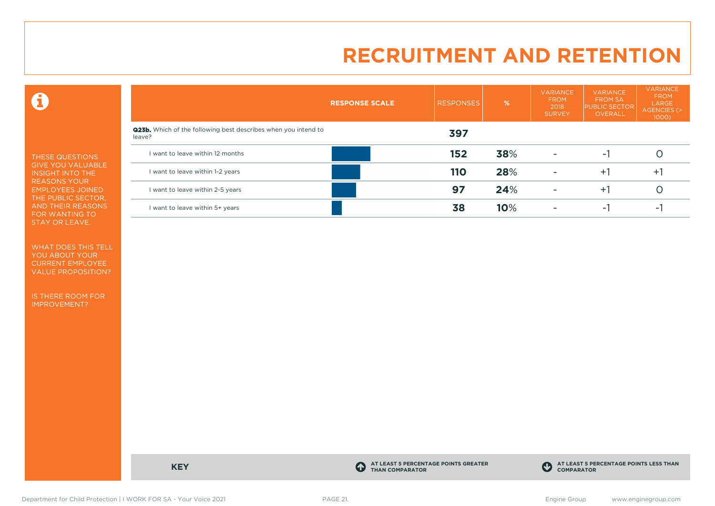0

THESE QUESTIONS GIVE YOU VALUABLE INSIGHT INTO THE REASONS YOUR EMPLOYEES JOINED THE PUBLIC SECTOR, AND THEIR REASONS FOR WANTING TO STAY OR LEAVE.

WHAT DOES THIS TELL YOU ABOUT YOUR CURRENT EMPLOYEE VALUE PROPOSITION?

IS THERE ROOM FOR IMPROVEMENT?

|                                                                                 | <b>RESPONSE SCALE</b> | <b>RESPONSES</b> | %   | <b>VARIANCE</b><br><b>FROM</b><br>2018<br><b>SURVEY</b> | <b>VARIANCE</b><br><b>FROM SA</b><br><b>PUBLIC SECTOR</b><br>OVERALL | <b>VARIANCE</b><br><b>FROM</b><br>LARGE<br>AGENCIES (><br>1000) |
|---------------------------------------------------------------------------------|-----------------------|------------------|-----|---------------------------------------------------------|----------------------------------------------------------------------|-----------------------------------------------------------------|
| <b>Q23b.</b> Which of the following best describes when you intend to<br>leave? |                       | 397              |     |                                                         |                                                                      |                                                                 |
| I want to leave within 12 months                                                |                       | 152              | 38% | $\overline{\phantom{a}}$                                | ÷.                                                                   |                                                                 |
| I want to leave within 1-2 years                                                |                       | <b>110</b>       | 28% | $\overline{\phantom{a}}$                                | $+1$                                                                 | $+1$                                                            |
| I want to leave within 2-5 years                                                |                       | 97               | 24% | ۰                                                       | $+1$                                                                 |                                                                 |
| I want to leave within 5+ years                                                 |                       | 38               | 10% | ۰                                                       | ۰                                                                    |                                                                 |

**KEY C** 

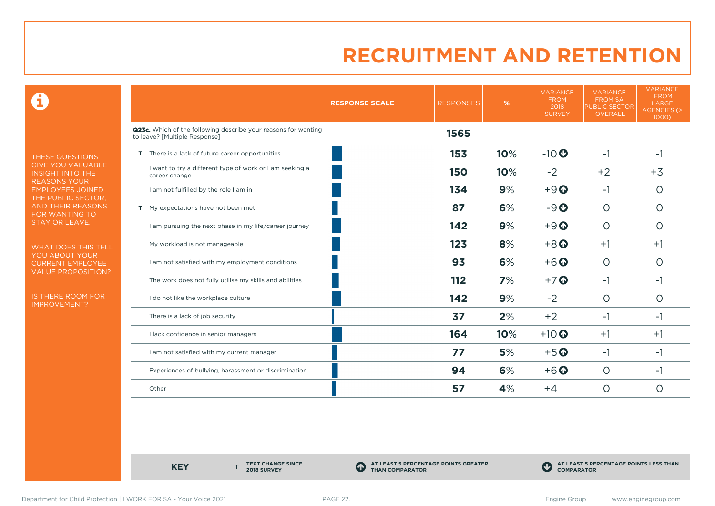0

THESE QUESTIONS GIVE YOU VALUABLE INSIGHT INTO THE REASONS YOUR EMPLOYEES JOINED THE PUBLIC SECTOR, AND THEIR REASONS FOR WANTING TO STAY OR LEAVE.

WHAT DOES THIS TELL YOU ABOUT YOUR CURRENT EMPLOYEE VALUE PROPOSITION?

IS THERE ROOM FOR IMPROVEMENT?

|                                                                                                 | <b>RESPONSE SCALE</b> | <b>RESPONSES</b> | %   | <b>VARIANCE</b><br><b>FROM</b><br>2018<br><b>SURVEY</b> | <b>VARIANCE</b><br><b>FROM SA</b><br><b>PUBLIC SECTOR</b><br>OVERALL | <b>VARIANCE</b><br><b>FROM</b><br>LARGE<br>AGENCIES (><br>1000) |
|-------------------------------------------------------------------------------------------------|-----------------------|------------------|-----|---------------------------------------------------------|----------------------------------------------------------------------|-----------------------------------------------------------------|
| Q23c. Which of the following describe your reasons for wanting<br>to leave? [Multiple Response] |                       | 1565             |     |                                                         |                                                                      |                                                                 |
| T There is a lack of future career opportunities                                                |                       | 153              | 10% | $-10$                                                   | $-1$                                                                 | $-1$                                                            |
| I want to try a different type of work or I am seeking a<br>career change                       |                       | <b>150</b>       | 10% | $-2$                                                    | $+2$                                                                 | $+3$                                                            |
| I am not fulfilled by the role I am in                                                          |                       | 134              | 9%  | $+9$ <sup><math>\odot</math></sup>                      | $-1$                                                                 | $\circ$                                                         |
| T My expectations have not been met                                                             |                       | 87               | 6%  | $-9O$                                                   | $\circ$                                                              | $\circ$                                                         |
| I am pursuing the next phase in my life/career journey                                          |                       | 142              | 9%  | $+9$ <sup><math>\odot</math></sup>                      | $\circ$                                                              | $\circ$                                                         |
| My workload is not manageable                                                                   |                       | 12 <sub>3</sub>  | 8%  | $+8$ <sup><math>\odot</math></sup>                      | $+1$                                                                 | $+1$                                                            |
| I am not satisfied with my employment conditions                                                |                       | 93               | 6%  | $+6$ <sup>O</sup>                                       | $\circ$                                                              | $\circ$                                                         |
| The work does not fully utilise my skills and abilities                                         |                       | 112              | 7%  | $+7$ <sup>O</sup>                                       | $-1$                                                                 | -1                                                              |
| I do not like the workplace culture                                                             |                       | 142              | 9%  | $-2$                                                    | $\circ$                                                              | O                                                               |
| There is a lack of job security                                                                 |                       | 37               | 2%  | $+2$                                                    | $-1$                                                                 | -1                                                              |
| I lack confidence in senior managers                                                            |                       | 164              | 10% | $+10$                                                   | $+1$                                                                 | $+1$                                                            |
| I am not satisfied with my current manager                                                      |                       | 77               | 5%  | $+5$ <sup>O</sup>                                       | -1                                                                   | $-1$                                                            |
| Experiences of bullying, harassment or discrimination                                           |                       | 94               | 6%  | $+6$ <sup>O</sup>                                       | $\circ$                                                              | $-1$                                                            |
| Other                                                                                           |                       | 57               | 4%  | $+4$                                                    | 0                                                                    | O                                                               |

**KEY** 

**TEXT CHANGE SINCE 2018 SURVEY**

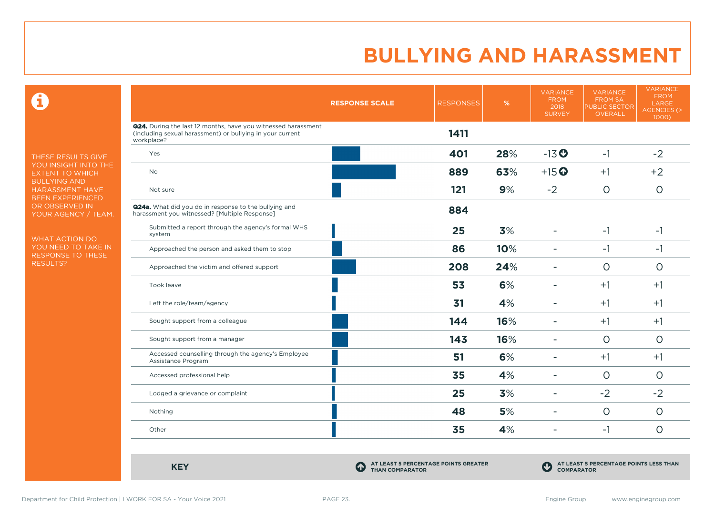$\mathbf \Omega$ 

THESE RESULTS GIVE YOU INSIGHT INTO THE EXTENT TO WHICH BULLYING AND HARASSMENT HAVE BEEN EXPERIENCED OR OBSERVED IN YOUR AGENCY / TEAM.

WHAT ACTION DO YOU NEED TO TAKE IN RESPONSE TO THESE RESULTS?

|                                                                                                                                          | <b>RESPONSE SCALE</b> | <b>RESPONSES</b> | %   | <b>VARIANCE</b><br><b>FROM</b><br>2018<br><b>SURVEY</b> | <b>VARIANCE</b><br><b>FROM SA</b><br>PUBLIC SECTOR<br>OVERALL | <b>VARIANCE</b><br><b>FROM</b><br>LARGE<br><b>AGENCIES (&gt;</b><br>1000) |
|------------------------------------------------------------------------------------------------------------------------------------------|-----------------------|------------------|-----|---------------------------------------------------------|---------------------------------------------------------------|---------------------------------------------------------------------------|
| Q24. During the last 12 months, have you witnessed harassment<br>(including sexual harassment) or bullying in your current<br>workplace? |                       | 1411             |     |                                                         |                                                               |                                                                           |
| Yes                                                                                                                                      |                       | 401              | 28% | $-13$ <sup>O</sup>                                      | $-1$                                                          | $-2$                                                                      |
| <b>No</b>                                                                                                                                |                       | 889              | 63% | $+15$ <sup>O</sup>                                      | $+1$                                                          | $+2$                                                                      |
| Not sure                                                                                                                                 |                       | 121              | 9%  | $-2$                                                    | $\circ$                                                       | $\circ$                                                                   |
| Q24a. What did you do in response to the bullying and<br>harassment you witnessed? [Multiple Response]                                   |                       | 884              |     |                                                         |                                                               |                                                                           |
| Submitted a report through the agency's formal WHS<br>system                                                                             |                       | 25               | 3%  | ÷                                                       | $-1$                                                          | $-1$                                                                      |
| Approached the person and asked them to stop                                                                                             |                       | 86               | 10% | $\blacksquare$                                          | $-1$                                                          | $-1$                                                                      |
| Approached the victim and offered support                                                                                                |                       | 208              | 24% | ÷.                                                      | $\Omega$                                                      | $\circ$                                                                   |
| Took leave                                                                                                                               |                       | 53               | 6%  | ÷                                                       | $+1$                                                          | $+1$                                                                      |
| Left the role/team/agency                                                                                                                |                       | 31               | 4%  | ۰                                                       | $+1$                                                          | $+1$                                                                      |
| Sought support from a colleague                                                                                                          |                       | 144              | 16% |                                                         | $+1$                                                          | $+1$                                                                      |
| Sought support from a manager                                                                                                            |                       | 143              | 16% |                                                         | $\circ$                                                       | $\circ$                                                                   |
| Accessed counselling through the agency's Employee<br>Assistance Program                                                                 |                       | 51               | 6%  | $\overline{\phantom{0}}$                                | $+1$                                                          | $+1$                                                                      |
| Accessed professional help                                                                                                               |                       | 35               | 4%  | ÷                                                       | $\Omega$                                                      | $\circ$                                                                   |
| Lodged a grievance or complaint                                                                                                          |                       | 25               | 3%  | $\blacksquare$                                          | $-2$                                                          | $-2$                                                                      |
| Nothing                                                                                                                                  |                       | 48               | 5%  | $\blacksquare$                                          | $\circ$                                                       | $\Omega$                                                                  |
| Other                                                                                                                                    |                       | 35               | 4%  |                                                         | $-1$                                                          | $\circ$                                                                   |

**KEY C** 

**AT LEAST 5 PERCENTAGE POINTS GREATER THAN COMPARATOR**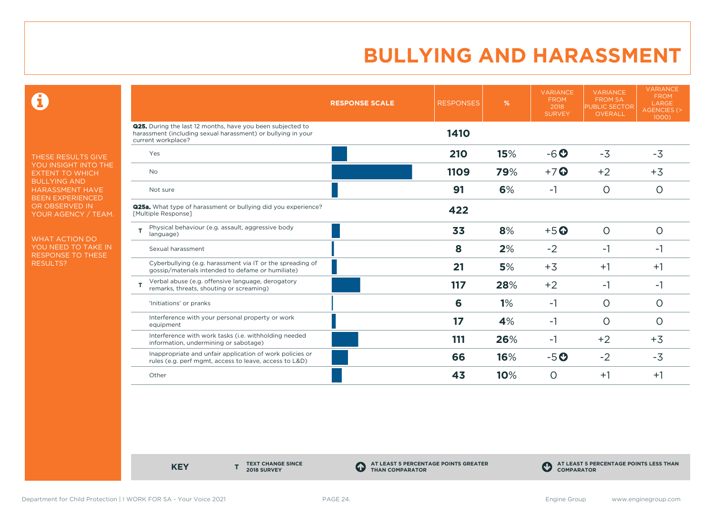0

THESE RESULTS GIVE YOU INSIGHT INTO THE EXTENT TO WHICH BULLYING AND HARASSMENT HAVE BEEN EXPERIENCED OR OBSERVED IN YOUR AGENCY / TEAM.

WHAT ACTION DO YOU NEED TO TAKE IN RESPONSE TO THESE RESULTS?

|                                                                                                                                                         | <b>RESPONSE SCALE</b> | <b>RESPONSES</b> | %   | <b>VARIANCE</b><br><b>FROM</b><br>2018<br><b>SURVEY</b> | <b>VARIANCE</b><br><b>FROM SA</b><br><b>PUBLIC SECTOR</b><br><b>OVERALL</b> | <b>VARIANCE</b><br><b>FROM</b><br>LARGE<br><b>AGENCIES (&gt;</b><br>1000) |
|---------------------------------------------------------------------------------------------------------------------------------------------------------|-----------------------|------------------|-----|---------------------------------------------------------|-----------------------------------------------------------------------------|---------------------------------------------------------------------------|
| <b>Q25.</b> During the last 12 months, have you been subjected to<br>harassment (including sexual harassment) or bullying in your<br>current workplace? |                       | 1410             |     |                                                         |                                                                             |                                                                           |
| Yes                                                                                                                                                     |                       | 210              | 15% | $-6o$                                                   | $-3$                                                                        | $-3$                                                                      |
| <b>No</b>                                                                                                                                               |                       | 1109             | 79% | $+7$ $\odot$                                            | $+2$                                                                        | $+3$                                                                      |
| Not sure                                                                                                                                                |                       | 91               | 6%  | $-1$                                                    | $\circ$                                                                     | $\circ$                                                                   |
| <b>Q25a.</b> What type of harassment or bullying did you experience?<br>[Multiple Response]                                                             |                       | 422              |     |                                                         |                                                                             |                                                                           |
| Physical behaviour (e.g. assault, aggressive body<br>T<br>language)                                                                                     |                       | 33               | 8%  | $+5$ <sup>O</sup>                                       | $\circ$                                                                     | $\circ$                                                                   |
| Sexual harassment                                                                                                                                       |                       | 8                | 2%  | $-2$                                                    | $-1$                                                                        | -1                                                                        |
| Cyberbullying (e.g. harassment via IT or the spreading of<br>gossip/materials intended to defame or humiliate)                                          |                       | 21               | 5%  | $+3$                                                    | $+1$                                                                        | $+1$                                                                      |
| Verbal abuse (e.g. offensive language, derogatory<br>remarks, threats, shouting or screaming)                                                           |                       | 117              | 28% | $+2$                                                    | $-1$                                                                        | $-1$                                                                      |
| 'Initiations' or pranks                                                                                                                                 |                       | 6                | 1%  | $-1$                                                    | $\circ$                                                                     | $\circ$                                                                   |
| Interference with your personal property or work<br>equipment                                                                                           |                       | 17               | 4%  | $-1$                                                    | O                                                                           | $\circ$                                                                   |
| Interference with work tasks (i.e. withholding needed<br>information, undermining or sabotage)                                                          |                       | 111              | 26% | $-1$                                                    | $+2$                                                                        | $+3$                                                                      |
| Inappropriate and unfair application of work policies or<br>rules (e.g. perf mgmt, access to leave, access to L&D)                                      |                       | 66               | 16% | $-5o$                                                   | $-2$                                                                        | $-3$                                                                      |
| Other                                                                                                                                                   |                       | 43               | 10% | $\Omega$                                                | $+1$                                                                        | $+1$                                                                      |

**KEY** 

**TEXT CHANGE SINCE 2018 SURVEY**

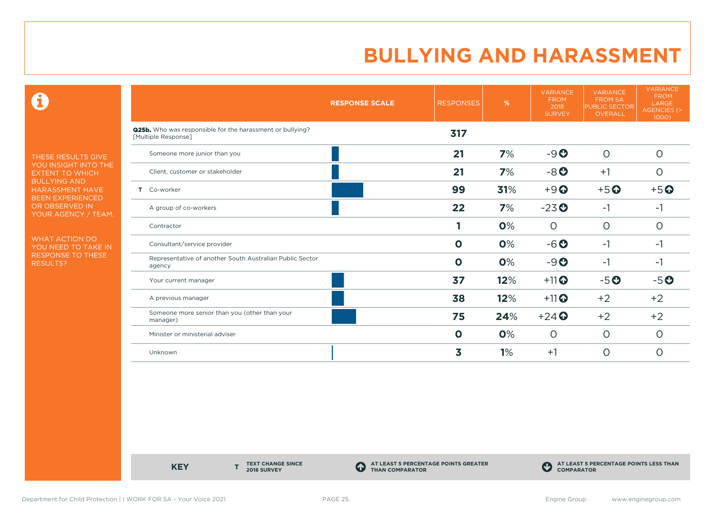0

THESE RESULTS GIVE YOU INSIGHT INTO THE EXTENT TO WHICH BULLYING AND HARASSMENT HAVE BEEN EXPERIENCED OR OBSERVED IN YOUR AGENCY / TEAM.

WHAT ACTION DO YOU NEED TO TAKE IN RESPONSE TO THESE RESULTS?

|                                                                                         | <b>RESPONSE SCALE</b> | <b>RESPONSES</b> | %   | <b>VARIANCE</b><br><b>FROM</b><br>2018<br><b>SURVEY</b> | <b>VARIANCE</b><br><b>FROM SA</b><br><b>PUBLIC SECTOR</b><br><b>OVERALL</b> | <b>VARIANCE</b><br><b>FROM</b><br>LARGE<br><b>AGENCIES (&gt;</b><br>1000) |
|-----------------------------------------------------------------------------------------|-----------------------|------------------|-----|---------------------------------------------------------|-----------------------------------------------------------------------------|---------------------------------------------------------------------------|
| <b>Q25b.</b> Who was responsible for the harassment or bullying?<br>[Multiple Response] |                       | 317              |     |                                                         |                                                                             |                                                                           |
| Someone more junior than you                                                            |                       | 21               | 7%  | $-9O$                                                   | $\circ$                                                                     | $\circ$                                                                   |
| Client, customer or stakeholder                                                         |                       | 21               | 7%  | $-8o$                                                   | $+1$                                                                        | O                                                                         |
| Co-worker<br>Τ.                                                                         |                       | 99               | 31% | $+9$ <sup><math>\odot</math></sup>                      | $+5$ <sup>O</sup>                                                           | $+5$ <sup>O</sup>                                                         |
| A group of co-workers                                                                   |                       | 22               | 7%  | $-23o$                                                  | $-1$                                                                        | $-1$                                                                      |
| Contractor                                                                              |                       |                  | 0%  | $\circ$                                                 | $\circ$                                                                     | $\circ$                                                                   |
| Consultant/service provider                                                             |                       | $\mathbf 0$      | 0%  | $-6o$                                                   | $-1$                                                                        | $-1$                                                                      |
| Representative of another South Australian Public Sector<br>agency                      |                       | $\mathbf 0$      | 0%  | $-9o$                                                   | $-1$                                                                        | $-1$                                                                      |
| Your current manager                                                                    |                       | 37               | 12% | $+11$ <sup>O</sup>                                      | $-5o$                                                                       | $-5o$                                                                     |
| A previous manager                                                                      |                       | 38               | 12% | $+11$ <sup>O</sup>                                      | $+2$                                                                        | $+2$                                                                      |
| Someone more senior than you (other than your<br>manager)                               |                       | 75               | 24% | $+24$                                                   | $+2$                                                                        | $+2$                                                                      |
| Minister or ministerial adviser                                                         |                       | $\mathbf 0$      | 0%  | $\circ$                                                 | $\circ$                                                                     | $\circ$                                                                   |
| Unknown                                                                                 |                       | 3                | 1%  | $+1$                                                    | $\circ$                                                                     | $\circ$                                                                   |

**KEY** 

**TEXT CHANGE SINCE 2018 SURVEY**

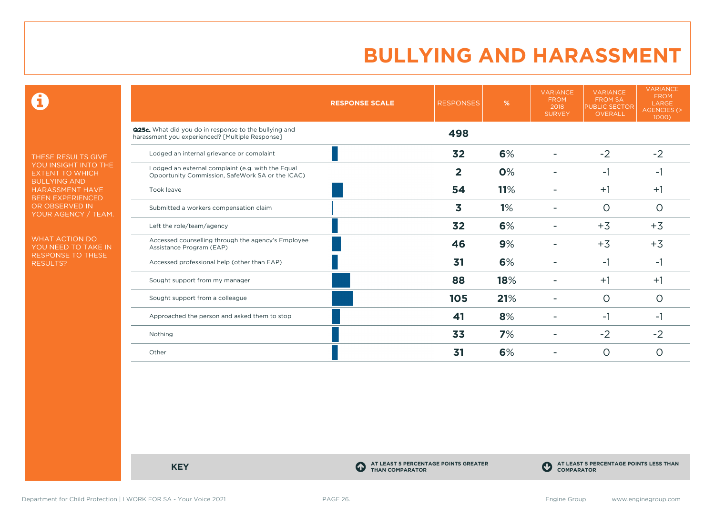0

THESE RESULTS GIVE YOU INSIGHT INTO THE EXTENT TO WHICH BULLYING AND HARASSMENT HAVE BEEN EXPERIENCED OR OBSERVED IN YOUR AGENCY / TEAM.

WHAT ACTION DO YOU NEED TO TAKE IN RESPONSE TO THESE RESULTS?

|                                                                                                          | <b>RESPONSE SCALE</b> | <b>RESPONSES</b> | %   | <b>VARIANCE</b><br><b>FROM</b><br>2018<br><b>SURVEY</b> | <b>VARIANCE</b><br><b>FROM SA</b><br><b>PUBLIC SECTOR</b><br><b>OVERALL</b> | <b>VARIANCE</b><br><b>FROM</b><br>LARGE<br><b>AGENCIES (&gt;</b><br>1000) |
|----------------------------------------------------------------------------------------------------------|-----------------------|------------------|-----|---------------------------------------------------------|-----------------------------------------------------------------------------|---------------------------------------------------------------------------|
| Q25c. What did you do in response to the bullying and<br>harassment you experienced? [Multiple Response] |                       | 498              |     |                                                         |                                                                             |                                                                           |
| Lodged an internal grievance or complaint                                                                |                       | 32               | 6%  |                                                         | $-2$                                                                        | $-2$                                                                      |
| Lodged an external complaint (e.g. with the Equal<br>Opportunity Commission, SafeWork SA or the ICAC)    |                       | $\overline{2}$   | 0%  |                                                         | $-1$                                                                        | -1                                                                        |
| Took leave                                                                                               |                       | 54               | 11% |                                                         | $+1$                                                                        | $+1$                                                                      |
| Submitted a workers compensation claim                                                                   |                       | 3                | 1%  |                                                         | $\circ$                                                                     | $\Omega$                                                                  |
| Left the role/team/agency                                                                                |                       | 32               | 6%  |                                                         | $+3$                                                                        | $+3$                                                                      |
| Accessed counselling through the agency's Employee<br>Assistance Program (EAP)                           |                       | 46               | 9%  |                                                         | $+3$                                                                        | $+3$                                                                      |
| Accessed professional help (other than EAP)                                                              |                       | 31               | 6%  |                                                         | $-1$                                                                        | -1                                                                        |
| Sought support from my manager                                                                           |                       | 88               | 18% |                                                         | $+1$                                                                        | $+1$                                                                      |
| Sought support from a colleague                                                                          |                       | 105              | 21% |                                                         | $\Omega$                                                                    | $\Omega$                                                                  |
| Approached the person and asked them to stop                                                             |                       | 41               | 8%  |                                                         | $-1$                                                                        | -1                                                                        |
| Nothing                                                                                                  |                       | 33               | 7%  |                                                         | $-2$                                                                        | $-2$                                                                      |
| Other                                                                                                    |                       | 31               | 6%  |                                                         | $\circ$                                                                     | ∩                                                                         |

**KEY C** 

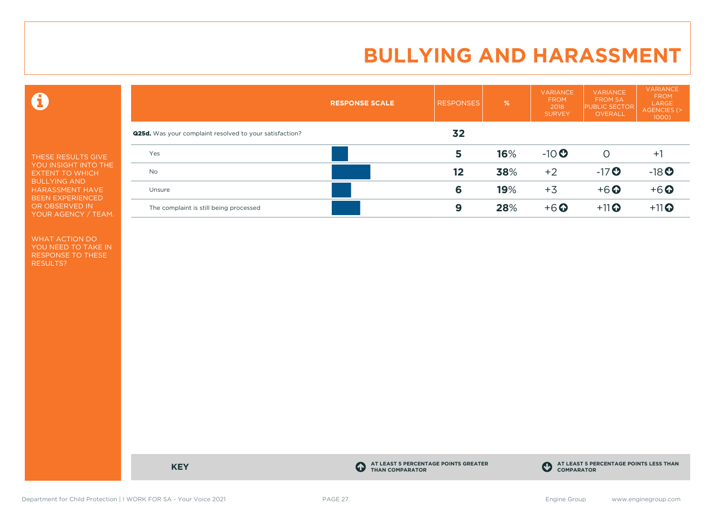0

THESE RESULTS GIVE YOU INSIGHT INTO THE EXTENT TO WHICH BULLYING AND HARASSMENT HAVE BEEN EXPERIENCED OR OBSERVED IN YOUR AGENCY / TEAM.

WHAT ACTION DO YOU NEED TO TAKE IN RESPONSE TO THESE RESULTS?

|                                                                | <b>RESPONSE SCALE</b> | <b>RESPONSES</b> | %   | <b>VARIANCE</b><br><b>FROM</b><br>2018<br><b>SURVEY</b> | <b>VARIANCE</b><br><b>FROM SA</b><br><b>PUBLIC SECTOR</b><br>OVERALL | <b>VARIANCE</b><br><b>FROM</b><br>LARGE<br><b>AGENCIES (&gt;</b><br>$1000$ ) |
|----------------------------------------------------------------|-----------------------|------------------|-----|---------------------------------------------------------|----------------------------------------------------------------------|------------------------------------------------------------------------------|
| <b>Q25d.</b> Was your complaint resolved to your satisfaction? |                       | 32               |     |                                                         |                                                                      |                                                                              |
| Yes                                                            |                       | 5                | 16% | $-10$                                                   | O                                                                    | $+1$                                                                         |
| <b>No</b>                                                      |                       | 12               | 38% | $+2$                                                    | $-17$ <sup>O</sup>                                                   | $-18$ <sup>O</sup>                                                           |
| Unsure                                                         |                       | 6                | 19% | $+3$                                                    | $+6$ $\odot$                                                         | $+6$ <sup>O</sup>                                                            |
| The complaint is still being processed                         |                       | 9                | 28% | $+6$ $\odot$                                            | $+11$ <sup>O</sup>                                                   | $+11$ <sup>O</sup>                                                           |

**KEY C** 

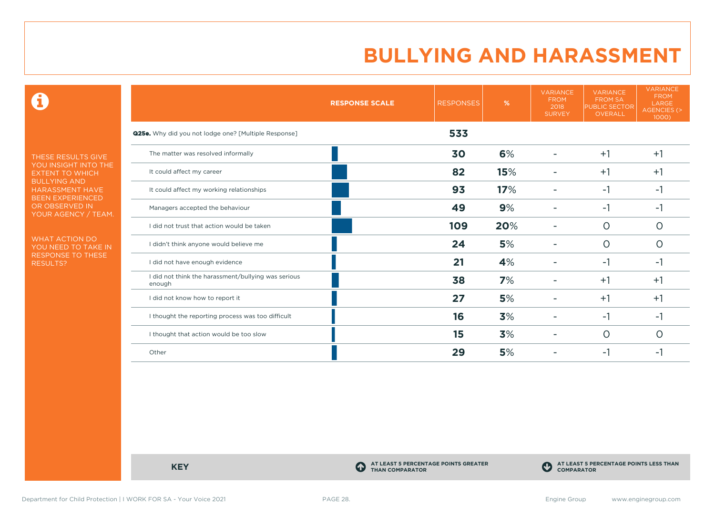0

THESE RESULTS GIVE YOU INSIGHT INTO THE EXTENT TO WHICH BULLYING AND HARASSMENT HAVE BEEN EXPERIENCED OR OBSERVED IN YOUR AGENCY / TEAM.

WHAT ACTION DO YOU NEED TO TAKE IN RESPONSE TO THESE RESULTS?

|                                                               | <b>RESPONSE SCALE</b> | <b>RESPONSES</b> | %   | <b>VARIANCE</b><br><b>FROM</b><br>2018<br><b>SURVEY</b> | <b>VARIANCE</b><br><b>FROM SA</b><br><b>PUBLIC SECTOR</b><br><b>OVERALL</b> | <b>VARIANCE</b><br><b>FROM</b><br>LARGE<br>AGENCIES (><br>1000) |
|---------------------------------------------------------------|-----------------------|------------------|-----|---------------------------------------------------------|-----------------------------------------------------------------------------|-----------------------------------------------------------------|
| Q25e. Why did you not lodge one? [Multiple Response]          |                       | 533              |     |                                                         |                                                                             |                                                                 |
| The matter was resolved informally                            |                       | 30               | 6%  | ۰                                                       | $+1$                                                                        | $+1$                                                            |
| It could affect my career                                     |                       | 82               | 15% |                                                         | $+1$                                                                        | $+1$                                                            |
| It could affect my working relationships                      |                       | 93               | 17% |                                                         | $-1$                                                                        | $-1$                                                            |
| Managers accepted the behaviour                               |                       | 49               | 9%  |                                                         | -1                                                                          | -1                                                              |
| I did not trust that action would be taken                    |                       | 109              | 20% |                                                         | $\circ$                                                                     | 0                                                               |
| I didn't think anyone would believe me                        |                       | 24               | 5%  |                                                         | $\circ$                                                                     | 0                                                               |
| I did not have enough evidence                                |                       | 21               | 4%  |                                                         | $-1$                                                                        | -1                                                              |
| I did not think the harassment/bullying was serious<br>enough |                       | 38               | 7%  |                                                         | $+1$                                                                        | $+1$                                                            |
| I did not know how to report it                               |                       | 27               | 5%  |                                                         | $+1$                                                                        | $+1$                                                            |
| I thought the reporting process was too difficult             |                       | 16               | 3%  |                                                         | $-1$                                                                        | -1                                                              |
| I thought that action would be too slow                       |                       | 15               | 3%  |                                                         | $\circ$                                                                     | 0                                                               |
| Other                                                         |                       | 29               | 5%  |                                                         | -1                                                                          | -1                                                              |

**KEY C** 

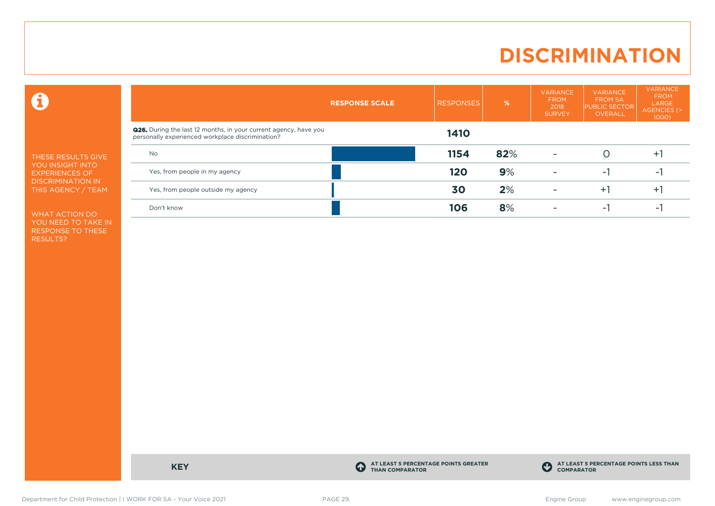### **DISCRIMINATION**

 $\mathbf \Theta$ 

THESE RESULTS GIVE YOU INSIGHT INTO EXPERIENCES OF DISCRIMINATION IN THIS AGENCY / TEAM

WHAT ACTION DO YOU NEED TO TAKE IN RESPONSE TO THESE RESULTS?

|                                                                                                                             | <b>RESPONSE SCALE</b> | <b>RESPONSES</b> | %   | <b>VARIANCE</b><br><b>FROM</b><br>2018<br><b>SURVEY</b> | <b>VARIANCE</b><br><b>FROM SA</b><br><b>PUBLIC SECTOR</b><br>OVERALL | <b>VARIANCE</b><br><b>FROM</b><br>LARGE<br>AGENCIES (><br>$1000$ ) |
|-----------------------------------------------------------------------------------------------------------------------------|-----------------------|------------------|-----|---------------------------------------------------------|----------------------------------------------------------------------|--------------------------------------------------------------------|
| <b>Q26.</b> During the last 12 months, in your current agency, have you<br>personally experienced workplace discrimination? |                       | 1410             |     |                                                         |                                                                      |                                                                    |
| No                                                                                                                          |                       | 1154             | 82% |                                                         |                                                                      | $+$                                                                |
| Yes, from people in my agency                                                                                               |                       | 120              | 9%  |                                                         | ÷.                                                                   | $\sim$                                                             |
| Yes, from people outside my agency                                                                                          |                       | 30               | 2%  |                                                         | Ŧ.                                                                   | $+$                                                                |
| Don't know                                                                                                                  |                       | 106              | 8%  |                                                         | - 1                                                                  | $\sim$                                                             |

**KEY C** 

**AT LEAST 5 PERCENTAGE POINTS GREATER THAN COMPARATOR**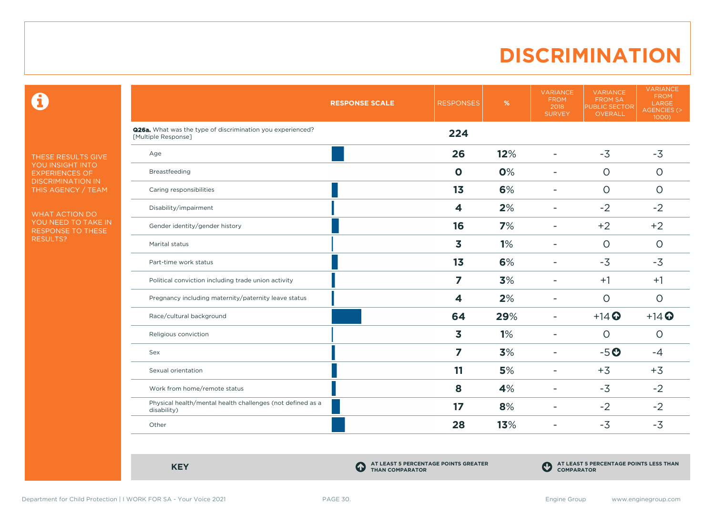### **DISCRIMINATION**

 $\mathbf \Theta$ 

THESE RESULTS GIVE YOU INSIGHT INTO EXPERIENCES OF DISCRIMINATION IN THIS AGENCY / TEAM

WHAT ACTION DO YOU NEED TO TAKE IN RESPONSE TO THESE RESULTS?

|                                                                                   | <b>RESPONSE SCALE</b> | <b>RESPONSES</b>        | %   | <b>VARIANCE</b><br><b>FROM</b><br>2018<br><b>SURVEY</b> | <b>VARIANCE</b><br><b>FROM SA</b><br><b>PUBLIC SECTOR</b><br>OVERALL | <b>VARIANCE</b><br><b>FROM</b><br>LARGE<br>AGENCIES (><br>1000) |
|-----------------------------------------------------------------------------------|-----------------------|-------------------------|-----|---------------------------------------------------------|----------------------------------------------------------------------|-----------------------------------------------------------------|
| Q26a. What was the type of discrimination you experienced?<br>[Multiple Response] |                       | 224                     |     |                                                         |                                                                      |                                                                 |
| Age                                                                               |                       | 26                      | 12% | $\overline{\phantom{a}}$                                | $-3$                                                                 | $-3$                                                            |
| Breastfeeding                                                                     |                       | $\mathbf 0$             | 0%  | ٠                                                       | $\circ$                                                              | $\circ$                                                         |
| Caring responsibilities                                                           |                       | 1 <sub>3</sub>          | 6%  | $\overline{\phantom{a}}$                                | $\Omega$                                                             | $\circ$                                                         |
| Disability/impairment                                                             |                       | 4                       | 2%  | $\overline{\phantom{0}}$                                | $-2$                                                                 | $-2$                                                            |
| Gender identity/gender history                                                    |                       | 16                      | 7%  | ۰                                                       | $+2$                                                                 | $+2$                                                            |
| Marital status                                                                    |                       | 3                       | 1%  | ٠                                                       | $\circ$                                                              | $\circ$                                                         |
| Part-time work status                                                             |                       | 1 <sub>3</sub>          | 6%  | $\blacksquare$                                          | $-3$                                                                 | $-3$                                                            |
| Political conviction including trade union activity                               |                       | $\overline{\mathbf{z}}$ | 3%  | ٠                                                       | $+1$                                                                 | $+1$                                                            |
| Pregnancy including maternity/paternity leave status                              |                       | 4                       | 2%  | $\overline{\phantom{a}}$                                | $\circ$                                                              | $\circ$                                                         |
| Race/cultural background                                                          |                       | 64                      | 29% | $\overline{\phantom{a}}$                                | $+14$ <sup>O</sup>                                                   | $+14$ $\odot$                                                   |
| Religious conviction                                                              |                       | 3                       | 1%  | $\overline{\phantom{a}}$                                | $\Omega$                                                             | $\Omega$                                                        |
| Sex                                                                               |                       | 7                       | 3%  | $\overline{\phantom{0}}$                                | $-5o$                                                                | $-4$                                                            |
| Sexual orientation                                                                |                       | 11                      | 5%  | $\overline{\phantom{a}}$                                | $+3$                                                                 | $+3$                                                            |
| Work from home/remote status                                                      |                       | 8                       | 4%  | ٠                                                       | $-3$                                                                 | $-2$                                                            |
| Physical health/mental health challenges (not defined as a<br>disability)         |                       | 17                      | 8%  | $\overline{\phantom{a}}$                                | $-2$                                                                 | $-2$                                                            |
| Other                                                                             |                       | 28                      | 13% | ٠                                                       | $-3$                                                                 | $-3$                                                            |

**KEY C** 

**AT LEAST 5 PERCENTAGE POINTS GREATER THAN COMPARATOR**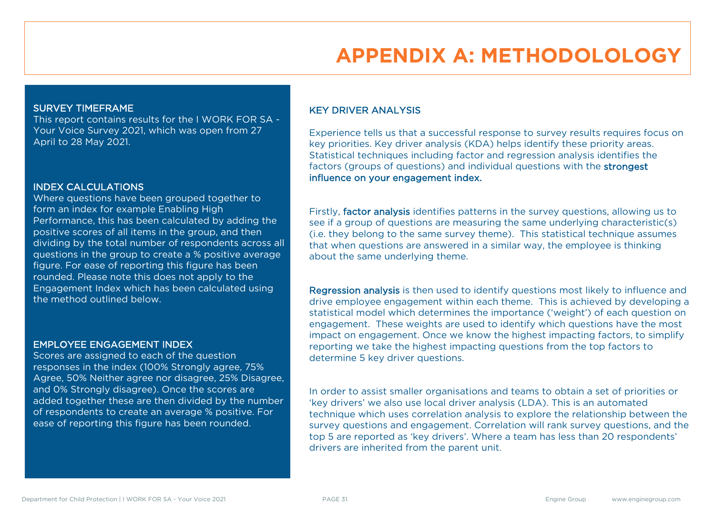### **APPENDIX A: METHODOLOLOGY**

#### SURVEY TIMEFRAME

This report contains results for the I WORK FOR SA - Your Voice Survey 2021, which was open from 27 April to 28 May 2021.

#### INDEX CALCULATIONS

Where questions have been grouped together to form an index for example Enabling High Performance, this has been calculated by adding the positive scores of all items in the group, and then dividing by the total number of respondents across all questions in the group to create a % positive average figure. For ease of reporting this figure has been rounded. Please note this does not apply to the Engagement Index which has been calculated using the method outlined below.

#### EMPLOYEE ENGAGEMENT INDEX

Scores are assigned to each of the question responses in the index (100% Strongly agree, 75% Agree, 50% Neither agree nor disagree, 25% Disagree, and 0% Strongly disagree). Once the scores are added together these are then divided by the number of respondents to create an average % positive. For ease of reporting this figure has been rounded.

#### KEY DRIVER ANALYSIS

Experience tells us that a successful response to survey results requires focus on key priorities. Key driver analysis (KDA) helps identify these priority areas. Statistical techniques including factor and regression analysis identifies the factors (groups of questions) and individual questions with the strongest influence on your engagement index.

Firstly, factor analysis identifies patterns in the survey questions, allowing us to see if a group of questions are measuring the same underlying characteristic(s) (i.e. they belong to the same survey theme). This statistical technique assumes that when questions are answered in a similar way, the employee is thinking about the same underlying theme.

Regression analysis is then used to identify questions most likely to influence and drive employee engagement within each theme. This is achieved by developing a statistical model which determines the importance ('weight') of each question on engagement. These weights are used to identify which questions have the most impact on engagement. Once we know the highest impacting factors, to simplify reporting we take the highest impacting questions from the top factors to determine 5 key driver questions.

In order to assist smaller organisations and teams to obtain a set of priorities or 'key drivers' we also use local driver analysis (LDA). This is an automated technique which uses correlation analysis to explore the relationship between the survey questions and engagement. Correlation will rank survey questions, and the top 5 are reported as 'key drivers'. Where a team has less than 20 respondents' drivers are inherited from the parent unit.